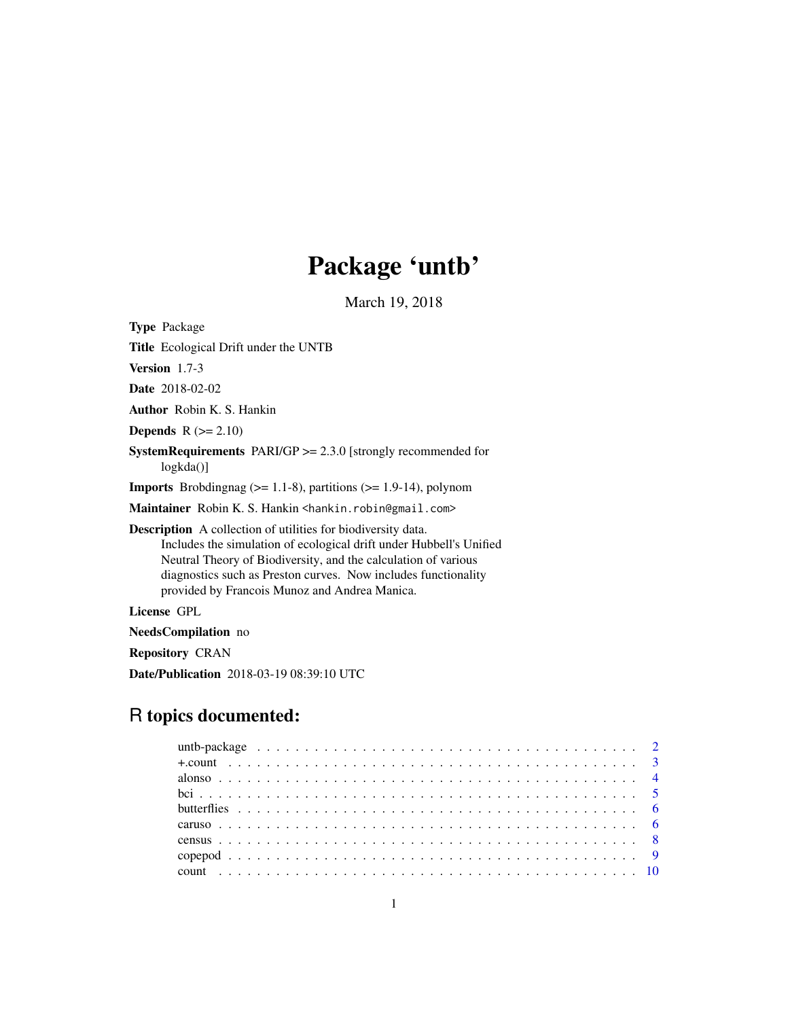# Package 'untb'

March 19, 2018

| <b>Type Package</b>                                                                                                                                                                                                                                                                                                             |
|---------------------------------------------------------------------------------------------------------------------------------------------------------------------------------------------------------------------------------------------------------------------------------------------------------------------------------|
| <b>Title</b> Ecological Drift under the UNTB                                                                                                                                                                                                                                                                                    |
| <b>Version</b> $1.7-3$                                                                                                                                                                                                                                                                                                          |
| <b>Date</b> 2018-02-02                                                                                                                                                                                                                                                                                                          |
| <b>Author</b> Robin K. S. Hankin                                                                                                                                                                                                                                                                                                |
| <b>Depends</b> $R (= 2.10)$                                                                                                                                                                                                                                                                                                     |
| <b>SystemRequirements</b> PARI/GP $>= 2.3.0$ [strongly recommended for<br>logkda()                                                                                                                                                                                                                                              |
| <b>Imports</b> Brobdingnag ( $> = 1.1-8$ ), partitions ( $> = 1.9-14$ ), polynom                                                                                                                                                                                                                                                |
| Maintainer Robin K. S. Hankin <hankin.robin@gmail.com></hankin.robin@gmail.com>                                                                                                                                                                                                                                                 |
| <b>Description</b> A collection of utilities for biodiversity data.<br>Includes the simulation of ecological drift under Hubbell's Unified<br>Neutral Theory of Biodiversity, and the calculation of various<br>diagnostics such as Preston curves. Now includes functionality<br>provided by Francois Munoz and Andrea Manica. |
| License GPL                                                                                                                                                                                                                                                                                                                     |
| <b>NeedsCompilation</b> no                                                                                                                                                                                                                                                                                                      |

Repository CRAN

Date/Publication 2018-03-19 08:39:10 UTC

# R topics documented: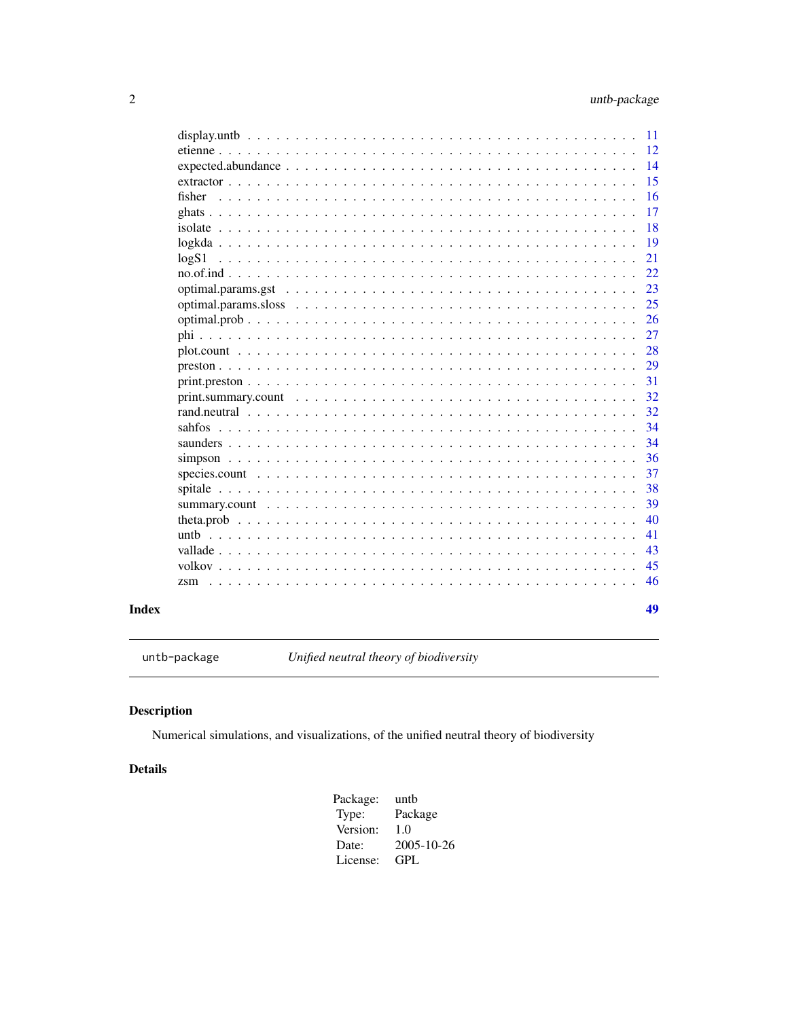<span id="page-1-0"></span>

|        | 41       |
|--------|----------|
|        | 40       |
|        | 39       |
|        | 37<br>38 |
|        | 36       |
| sahfos | 34<br>34 |
|        | 32       |
|        | 32       |
|        | 29<br>31 |
|        | 28       |
|        | 27       |
|        | 25<br>26 |
|        | 23       |
|        | 22       |
| logS1  | 19<br>21 |
|        | 18       |
|        | 17       |
| fisher | 15<br>16 |
|        | 14       |
|        | 11<br>12 |

## **Index**

untb-package

Unified neutral theory of biodiversity

### **Description**

Numerical simulations, and visualizations, of the unified neutral theory of biodiversity

### **Details**

Package: untb Type: Package Version:  $1.0\,$ Date: 2005-10-26 License:  $\mbox{GPL}$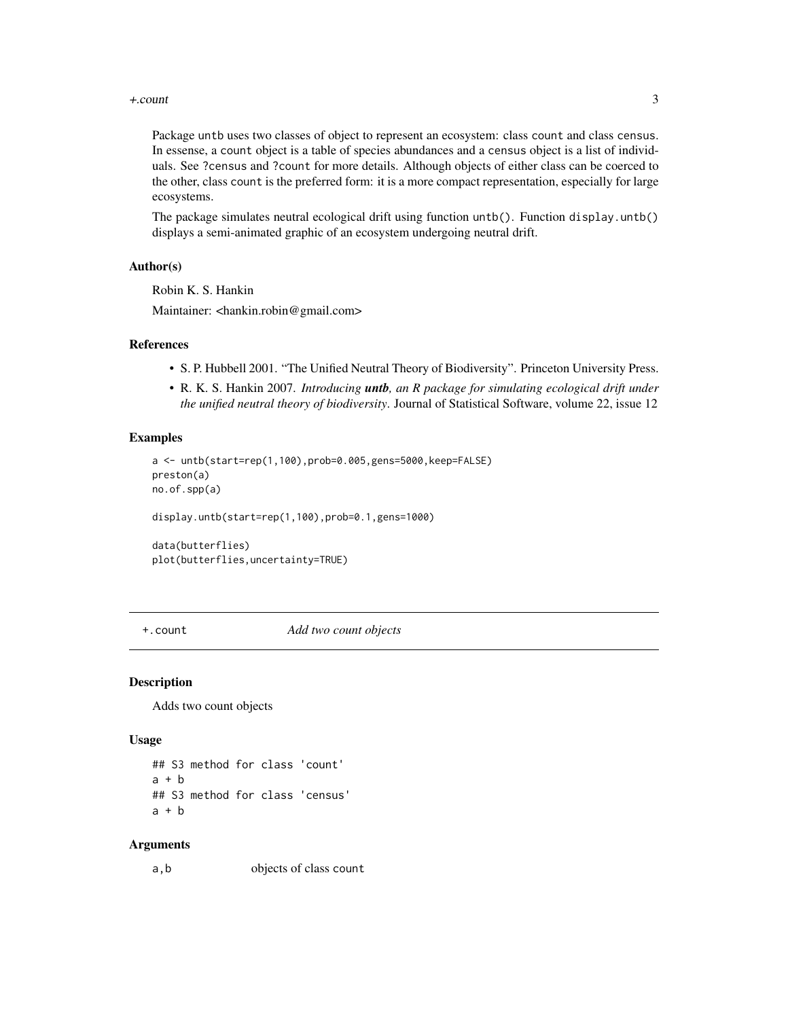#### <span id="page-2-0"></span>+.count 3

Package untb uses two classes of object to represent an ecosystem: class count and class census. In essense, a count object is a table of species abundances and a census object is a list of individuals. See ?census and ?count for more details. Although objects of either class can be coerced to the other, class count is the preferred form: it is a more compact representation, especially for large ecosystems.

The package simulates neutral ecological drift using function untb(). Function display.untb() displays a semi-animated graphic of an ecosystem undergoing neutral drift.

#### Author(s)

Robin K. S. Hankin

Maintainer: <hankin.robin@gmail.com>

#### References

- S. P. Hubbell 2001. "The Unified Neutral Theory of Biodiversity". Princeton University Press.
- R. K. S. Hankin 2007. *Introducing untb, an R package for simulating ecological drift under the unified neutral theory of biodiversity*. Journal of Statistical Software, volume 22, issue 12

#### Examples

```
a <- untb(start=rep(1,100),prob=0.005,gens=5000,keep=FALSE)
preston(a)
no.of.spp(a)
```
display.untb(start=rep(1,100),prob=0.1,gens=1000)

data(butterflies) plot(butterflies,uncertainty=TRUE)

+.count *Add two count objects*

#### Description

Adds two count objects

#### Usage

## S3 method for class 'count'  $a + b$ ## S3 method for class 'census'  $a + b$ 

#### Arguments

a,b objects of class count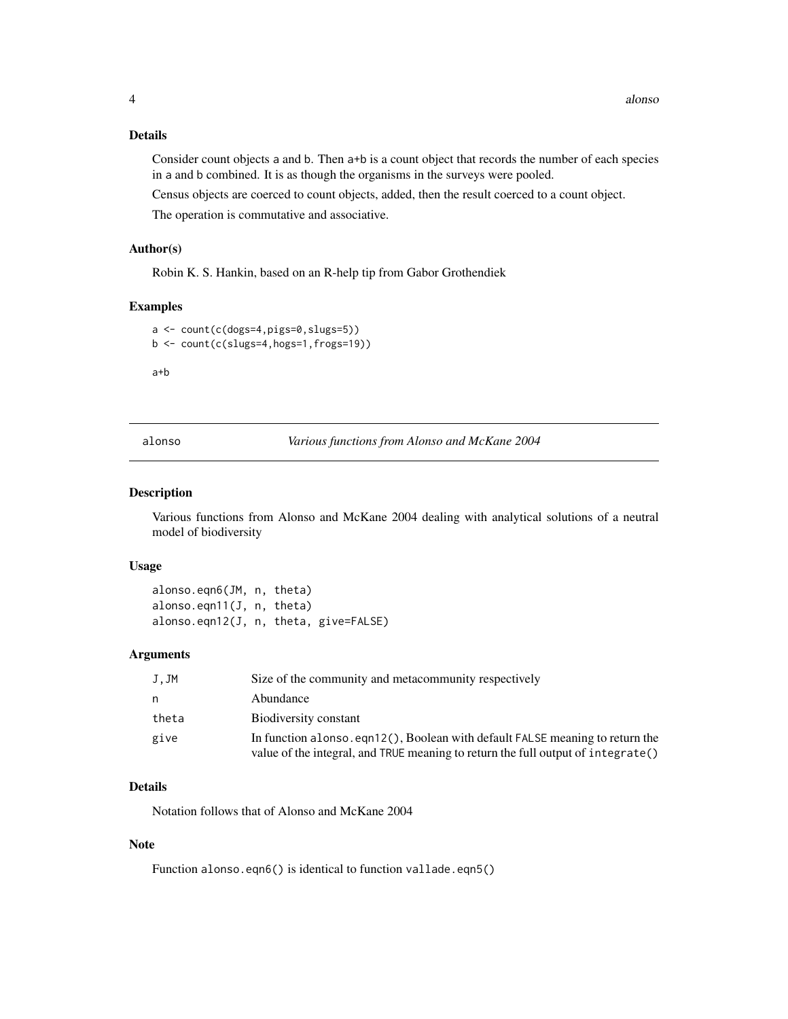### <span id="page-3-0"></span>Details

Consider count objects a and b. Then a+b is a count object that records the number of each species in a and b combined. It is as though the organisms in the surveys were pooled.

Census objects are coerced to count objects, added, then the result coerced to a count object.

The operation is commutative and associative.

### Author(s)

Robin K. S. Hankin, based on an R-help tip from Gabor Grothendiek

### Examples

```
a <- count(c(dogs=4,pigs=0,slugs=5))
b <- count(c(slugs=4,hogs=1,frogs=19))
```
a+b

alonso *Various functions from Alonso and McKane 2004*

#### Description

Various functions from Alonso and McKane 2004 dealing with analytical solutions of a neutral model of biodiversity

#### Usage

alonso.eqn6(JM, n, theta) alonso.eqn11(J, n, theta) alonso.eqn12(J, n, theta, give=FALSE)

### Arguments

| J.JM  | Size of the community and metacommunity respectively                                                                                                              |
|-------|-------------------------------------------------------------------------------------------------------------------------------------------------------------------|
| n     | Abundance                                                                                                                                                         |
| theta | Biodiversity constant                                                                                                                                             |
| give  | In function alonso, eqn12(), Boolean with default FALSE meaning to return the<br>value of the integral, and TRUE meaning to return the full output of integrate() |

### Details

Notation follows that of Alonso and McKane 2004

#### Note

Function alonso.eqn6() is identical to function vallade.eqn5()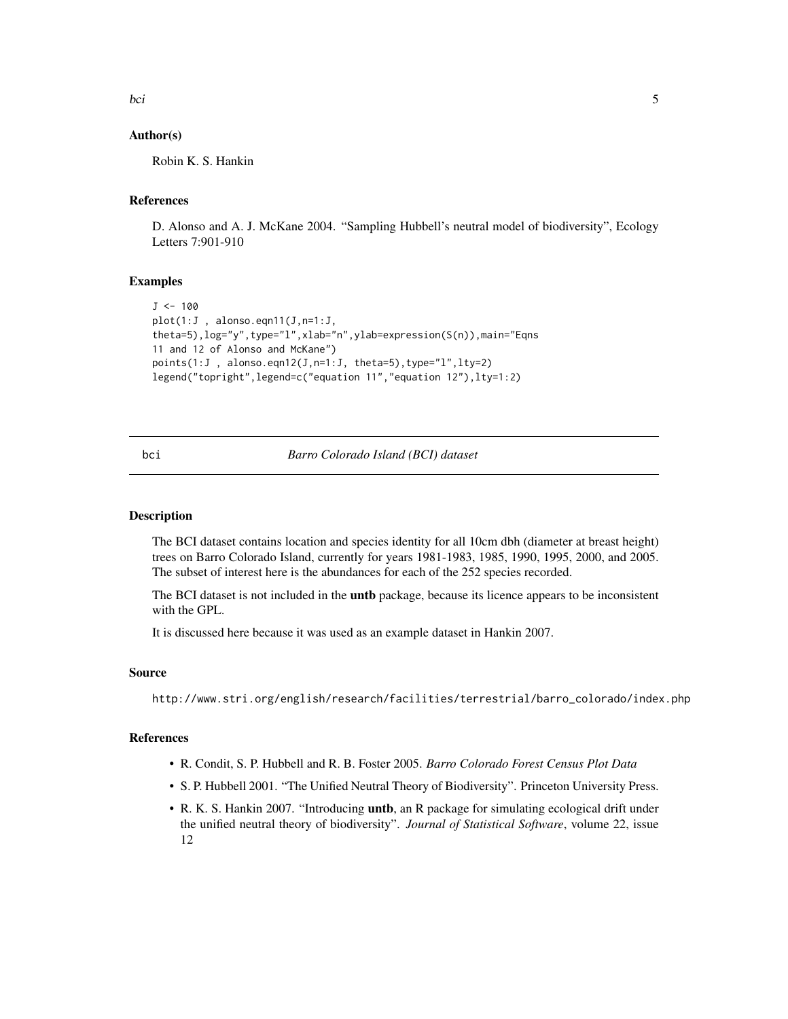<span id="page-4-0"></span>bci 50 ani 30 ani 31 ani 32 ani 33 ani 34 ani 35 ani 36 ani 37 ani 38 ani 39 ani 30 ani 31 ani 32 ani 33 ani 3

### Author(s)

Robin K. S. Hankin

### References

D. Alonso and A. J. McKane 2004. "Sampling Hubbell's neutral model of biodiversity", Ecology Letters 7:901-910

#### Examples

```
J < -100plot(1:J , alonso.eqn11(J,n=1:J,
theta=5),log="y",type="l",xlab="n",ylab=expression(S(n)),main="Eqns
11 and 12 of Alonso and McKane")
points(1:J, alonso.eqn12(J, n=1:J, theta=5),type="l",lty=2)
legend("topright",legend=c("equation 11","equation 12"),lty=1:2)
```
#### bci *Barro Colorado Island (BCI) dataset*

#### Description

The BCI dataset contains location and species identity for all 10cm dbh (diameter at breast height) trees on Barro Colorado Island, currently for years 1981-1983, 1985, 1990, 1995, 2000, and 2005. The subset of interest here is the abundances for each of the 252 species recorded.

The BCI dataset is not included in the **untb** package, because its licence appears to be inconsistent with the GPL.

It is discussed here because it was used as an example dataset in Hankin 2007.

#### Source

http://www.stri.org/english/research/facilities/terrestrial/barro\_colorado/index.php

### References

- R. Condit, S. P. Hubbell and R. B. Foster 2005. *Barro Colorado Forest Census Plot Data*
- S. P. Hubbell 2001. "The Unified Neutral Theory of Biodiversity". Princeton University Press.
- R. K. S. Hankin 2007. "Introducing untb, an R package for simulating ecological drift under the unified neutral theory of biodiversity". *Journal of Statistical Software*, volume 22, issue 12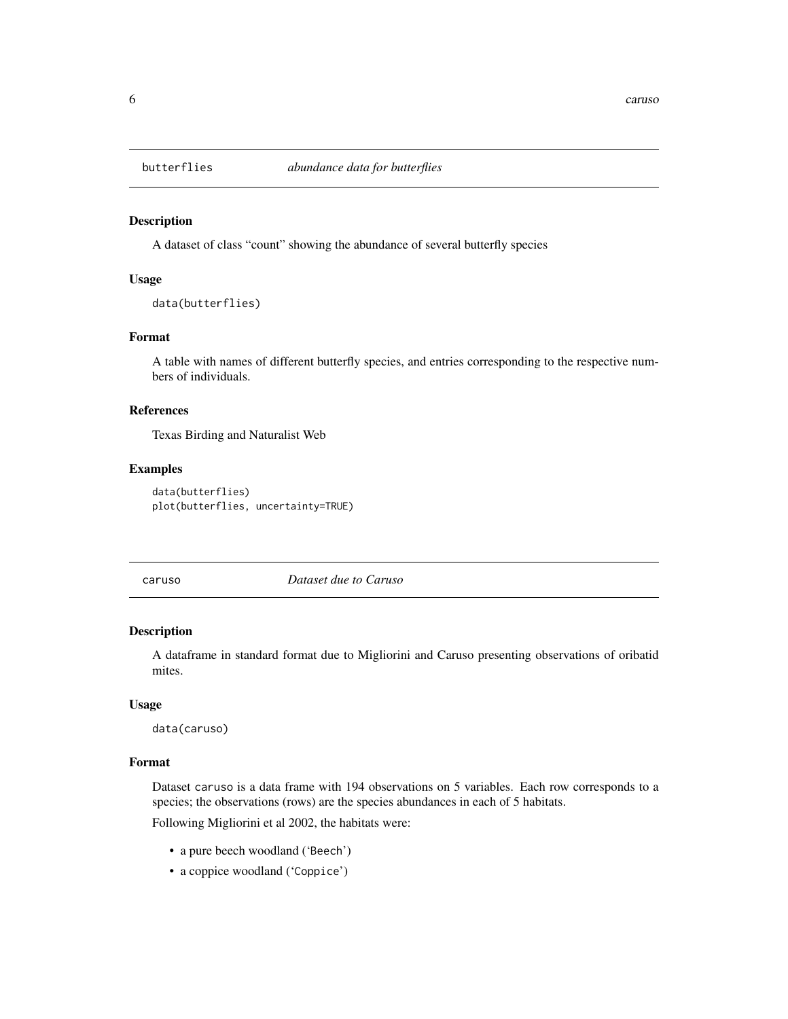<span id="page-5-0"></span>

A dataset of class "count" showing the abundance of several butterfly species

#### Usage

```
data(butterflies)
```
### Format

A table with names of different butterfly species, and entries corresponding to the respective numbers of individuals.

### References

Texas Birding and Naturalist Web

### Examples

```
data(butterflies)
plot(butterflies, uncertainty=TRUE)
```
caruso *Dataset due to Caruso*

### Description

A dataframe in standard format due to Migliorini and Caruso presenting observations of oribatid mites.

### Usage

data(caruso)

### Format

Dataset caruso is a data frame with 194 observations on 5 variables. Each row corresponds to a species; the observations (rows) are the species abundances in each of 5 habitats.

Following Migliorini et al 2002, the habitats were:

- a pure beech woodland ('Beech')
- a coppice woodland ('Coppice')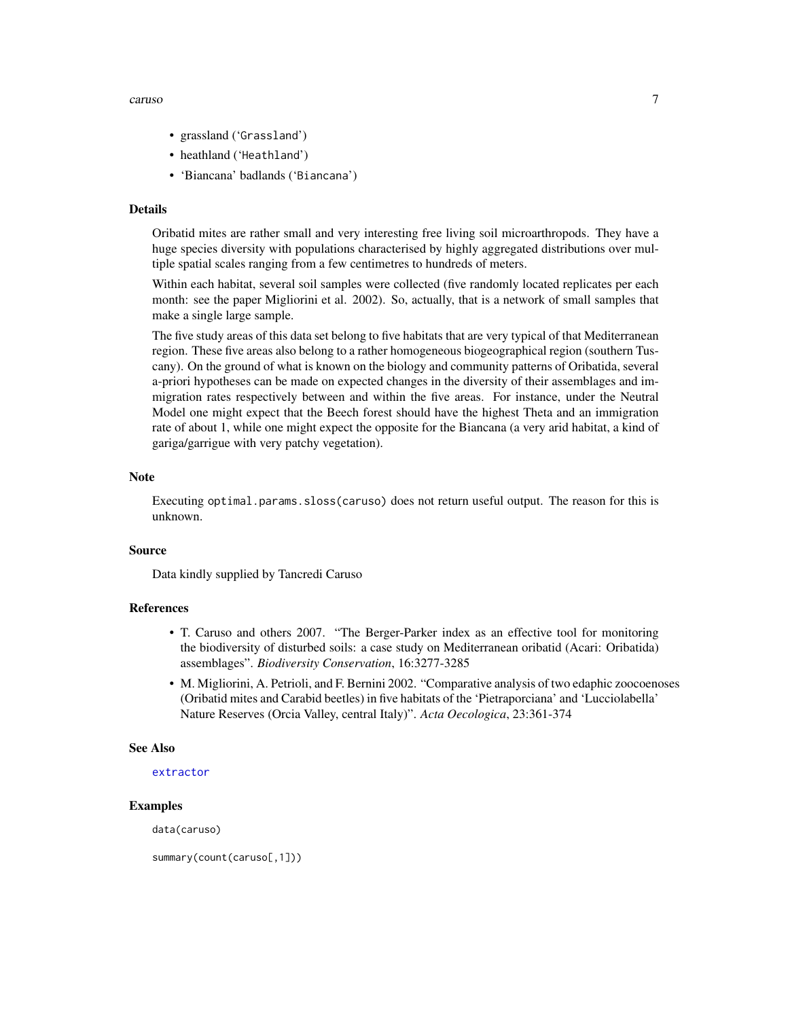#### <span id="page-6-0"></span>caruso and the contract of the contract of the contract of the contract of the contract of the contract of the contract of the contract of the contract of the contract of the contract of the contract of the contract of the

- grassland ('Grassland')
- heathland ('Heathland')
- 'Biancana' badlands ('Biancana')

#### Details

Oribatid mites are rather small and very interesting free living soil microarthropods. They have a huge species diversity with populations characterised by highly aggregated distributions over multiple spatial scales ranging from a few centimetres to hundreds of meters.

Within each habitat, several soil samples were collected (five randomly located replicates per each month: see the paper Migliorini et al. 2002). So, actually, that is a network of small samples that make a single large sample.

The five study areas of this data set belong to five habitats that are very typical of that Mediterranean region. These five areas also belong to a rather homogeneous biogeographical region (southern Tuscany). On the ground of what is known on the biology and community patterns of Oribatida, several a-priori hypotheses can be made on expected changes in the diversity of their assemblages and immigration rates respectively between and within the five areas. For instance, under the Neutral Model one might expect that the Beech forest should have the highest Theta and an immigration rate of about 1, while one might expect the opposite for the Biancana (a very arid habitat, a kind of gariga/garrigue with very patchy vegetation).

#### **Note**

Executing optimal.params.sloss(caruso) does not return useful output. The reason for this is unknown.

#### Source

Data kindly supplied by Tancredi Caruso

### References

- T. Caruso and others 2007. "The Berger-Parker index as an effective tool for monitoring the biodiversity of disturbed soils: a case study on Mediterranean oribatid (Acari: Oribatida) assemblages". *Biodiversity Conservation*, 16:3277-3285
- M. Migliorini, A. Petrioli, and F. Bernini 2002. "Comparative analysis of two edaphic zoocoenoses (Oribatid mites and Carabid beetles) in five habitats of the 'Pietraporciana' and 'Lucciolabella' Nature Reserves (Orcia Valley, central Italy)". *Acta Oecologica*, 23:361-374

#### See Also

```
extractor
```
### Examples

data(caruso)

summary(count(caruso[,1]))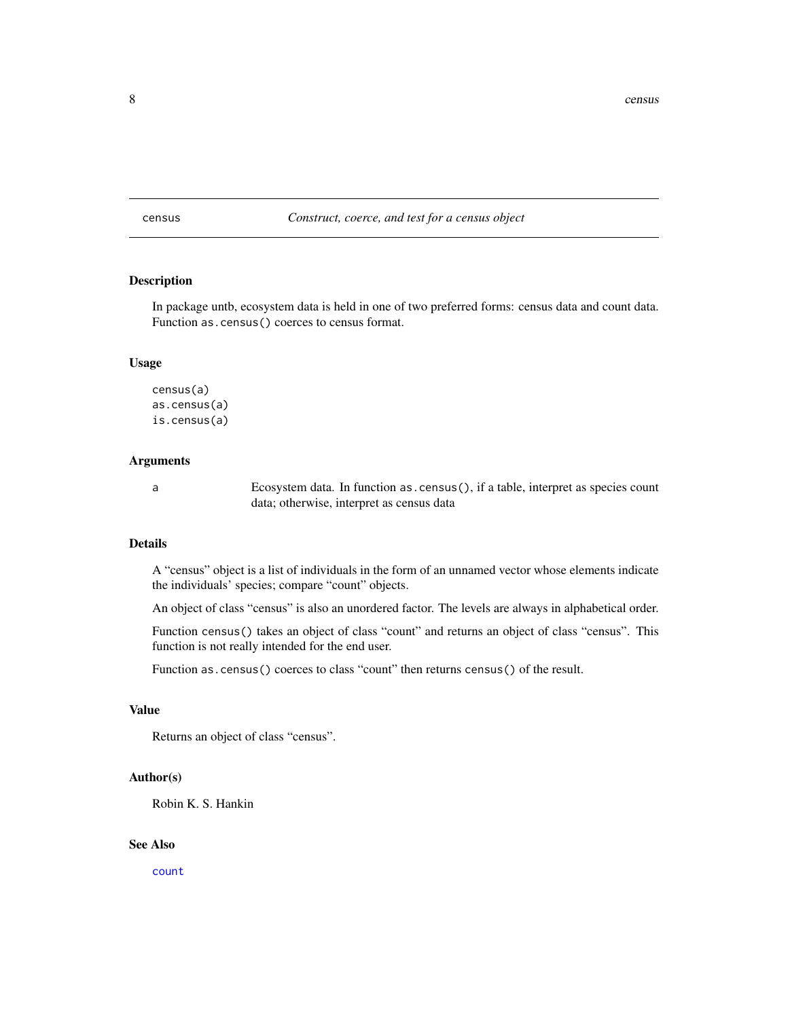### <span id="page-7-1"></span><span id="page-7-0"></span>census *Construct, coerce, and test for a census object*

#### Description

In package untb, ecosystem data is held in one of two preferred forms: census data and count data. Function as.census() coerces to census format.

#### Usage

census(a) as.census(a) is.census(a)

### Arguments

a Ecosystem data. In function as.census(), if a table, interpret as species count data; otherwise, interpret as census data

### Details

A "census" object is a list of individuals in the form of an unnamed vector whose elements indicate the individuals' species; compare "count" objects.

An object of class "census" is also an unordered factor. The levels are always in alphabetical order.

Function census() takes an object of class "count" and returns an object of class "census". This function is not really intended for the end user.

Function as.census() coerces to class "count" then returns census() of the result.

#### Value

Returns an object of class "census".

#### Author(s)

Robin K. S. Hankin

#### See Also

[count](#page-9-1)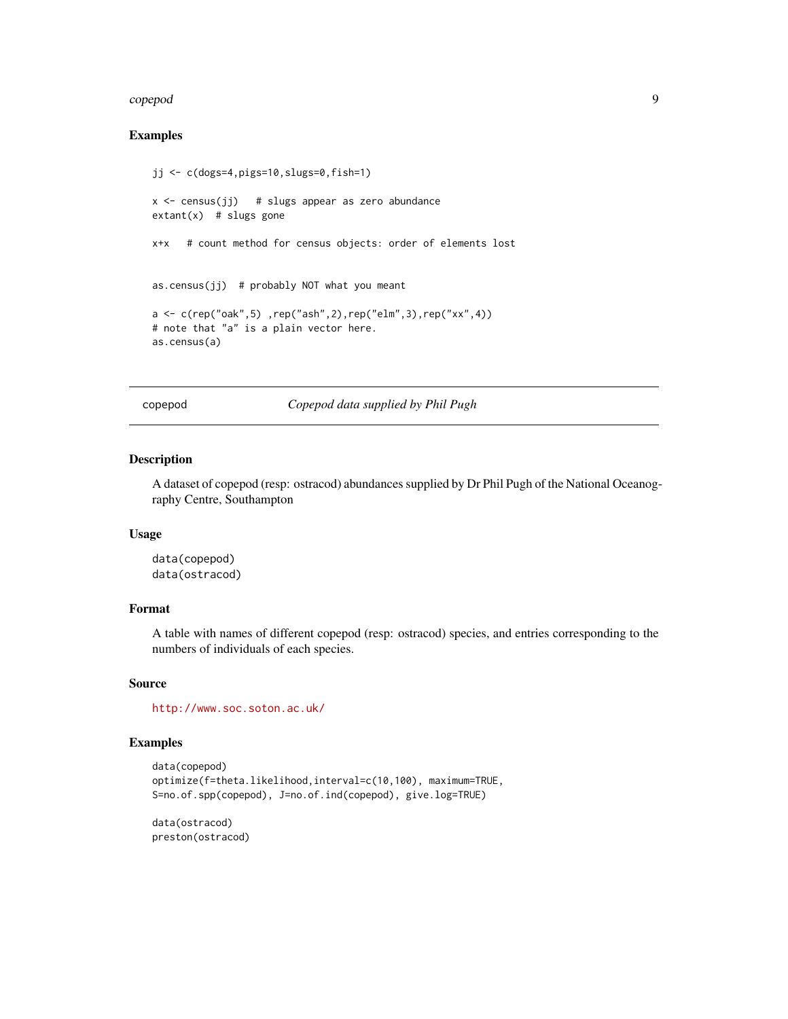#### <span id="page-8-0"></span>copepod 9

### Examples

```
jj <- c(dogs=4,pigs=10,slugs=0,fish=1)
x \le -census(jj) # slugs appear as zero abundance
extant(x) # slugs gone
x+x # count method for census objects: order of elements lost
as.census(jj) # probably NOT what you meant
a <- c(rep("oak",5) ,rep("ash",2),rep("elm",3),rep("xx",4))
# note that "a" is a plain vector here.
as.census(a)
```
copepod *Copepod data supplied by Phil Pugh*

### Description

A dataset of copepod (resp: ostracod) abundances supplied by Dr Phil Pugh of the National Oceanography Centre, Southampton

#### Usage

data(copepod) data(ostracod)

### Format

A table with names of different copepod (resp: ostracod) species, and entries corresponding to the numbers of individuals of each species.

#### Source

<http://www.soc.soton.ac.uk/>

### Examples

```
data(copepod)
optimize(f=theta.likelihood,interval=c(10,100), maximum=TRUE,
S=no.of.spp(copepod), J=no.of.ind(copepod), give.log=TRUE)
```
data(ostracod) preston(ostracod)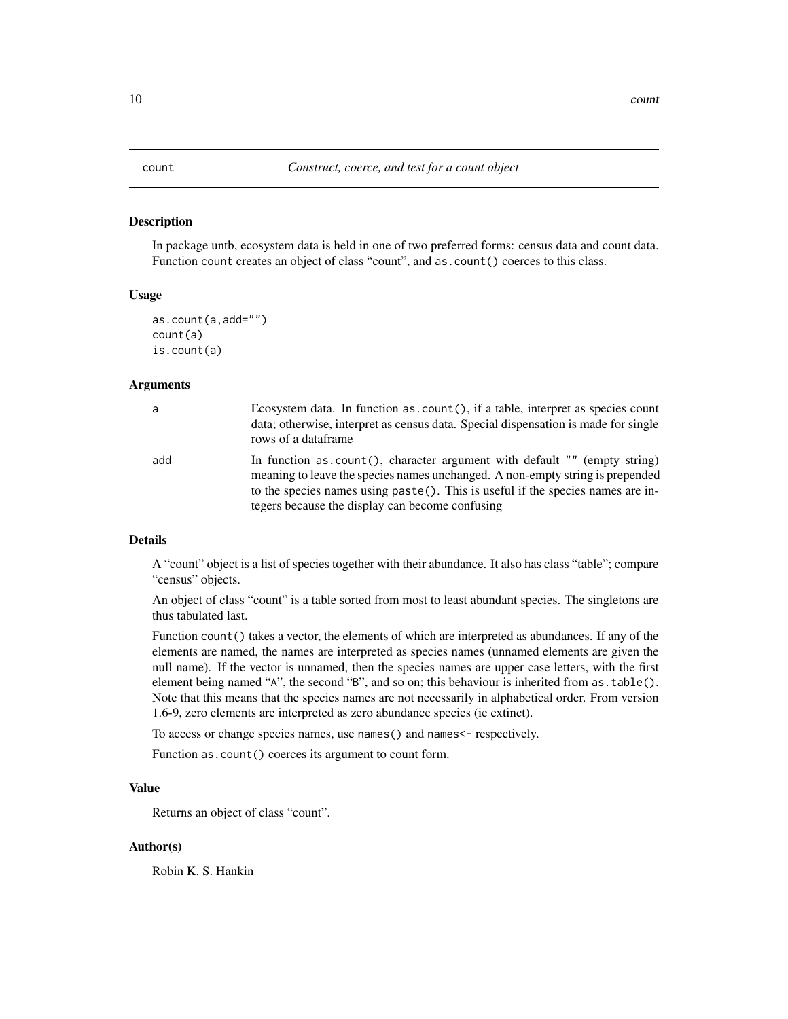<span id="page-9-1"></span><span id="page-9-0"></span>In package untb, ecosystem data is held in one of two preferred forms: census data and count data. Function count creates an object of class "count", and as.count() coerces to this class.

#### Usage

```
as.count(a,add="")
count(a)
is.count(a)
```
#### Arguments

| a   | Ecosystem data. In function as $count()$ , if a table, interpret as species count<br>data; otherwise, interpret as census data. Special dispensation is made for single<br>rows of a dataframe                                                                                                   |
|-----|--------------------------------------------------------------------------------------------------------------------------------------------------------------------------------------------------------------------------------------------------------------------------------------------------|
| add | In function as count(), character argument with default "" (empty string)<br>meaning to leave the species names unchanged. A non-empty string is prepended<br>to the species names using paste(). This is useful if the species names are in-<br>tegers because the display can become confusing |

#### Details

A "count" object is a list of species together with their abundance. It also has class "table"; compare "census" objects.

An object of class "count" is a table sorted from most to least abundant species. The singletons are thus tabulated last.

Function count() takes a vector, the elements of which are interpreted as abundances. If any of the elements are named, the names are interpreted as species names (unnamed elements are given the null name). If the vector is unnamed, then the species names are upper case letters, with the first element being named "A", the second "B", and so on; this behaviour is inherited from as.table(). Note that this means that the species names are not necessarily in alphabetical order. From version 1.6-9, zero elements are interpreted as zero abundance species (ie extinct).

To access or change species names, use names() and names<- respectively.

Function as.count() coerces its argument to count form.

### Value

Returns an object of class "count".

#### Author(s)

Robin K. S. Hankin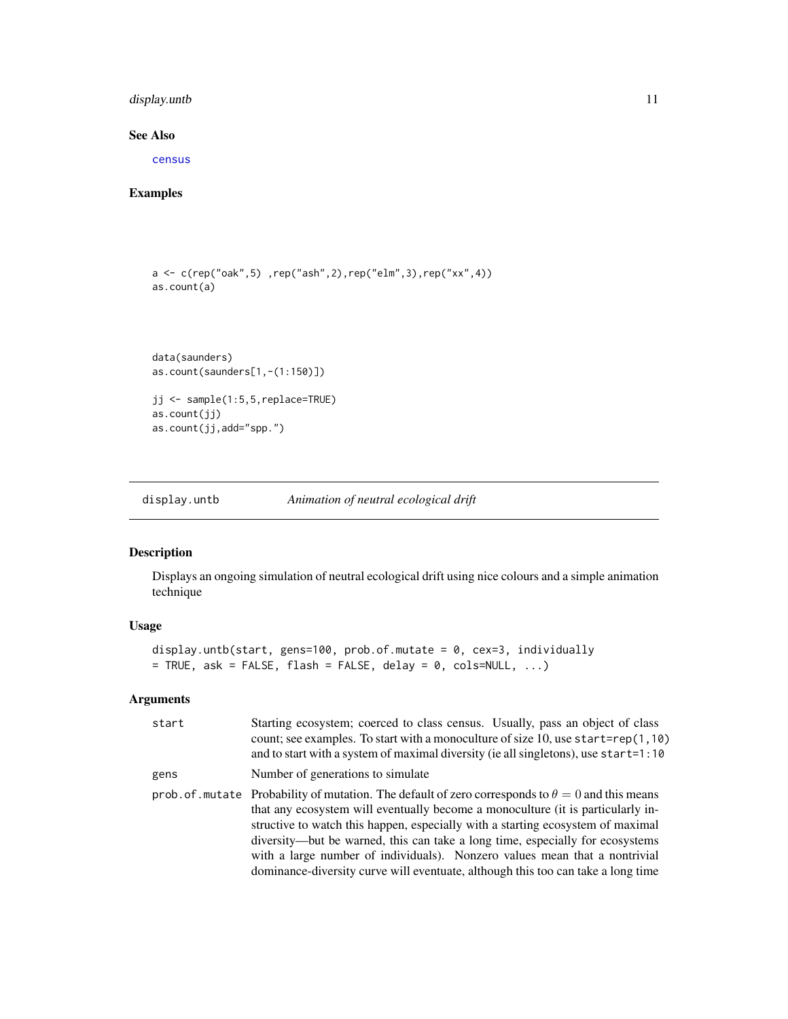### <span id="page-10-0"></span>display.untb 11

### See Also

[census](#page-7-1)

### Examples

```
a <- c(rep("oak",5) ,rep("ash",2),rep("elm",3),rep("xx",4))
as.count(a)
data(saunders)
as.count(saunders[1,-(1:150)])
jj <- sample(1:5,5,replace=TRUE)
as.count(jj)
as.count(jj,add="spp.")
```
display.untb *Animation of neutral ecological drift*

### Description

Displays an ongoing simulation of neutral ecological drift using nice colours and a simple animation technique

### Usage

```
display.untb(start, gens=100, prob.of.mutate = 0, cex=3, individually
= TRUE, ask = FALSE, flash = FALSE, delay = 0, cols=NULL, ...)
```
### Arguments

| start | Starting ecosystem; coerced to class census. Usually, pass an object of class<br>count; see examples. To start with a monoculture of size 10, use start=rep(1,10)<br>and to start with a system of maximal diversity (ie all singletons), use start=1:10                                                                                                                                                                                                                                                                         |
|-------|----------------------------------------------------------------------------------------------------------------------------------------------------------------------------------------------------------------------------------------------------------------------------------------------------------------------------------------------------------------------------------------------------------------------------------------------------------------------------------------------------------------------------------|
| gens  | Number of generations to simulate                                                                                                                                                                                                                                                                                                                                                                                                                                                                                                |
|       | prob. of mutate Probability of mutation. The default of zero corresponds to $\theta = 0$ and this means<br>that any ecosystem will eventually become a monoculture (it is particularly in-<br>structive to watch this happen, especially with a starting ecosystem of maximal<br>diversity—but be warned, this can take a long time, especially for ecosystems<br>with a large number of individuals). Nonzero values mean that a nontrivial<br>dominance-diversity curve will eventuate, although this too can take a long time |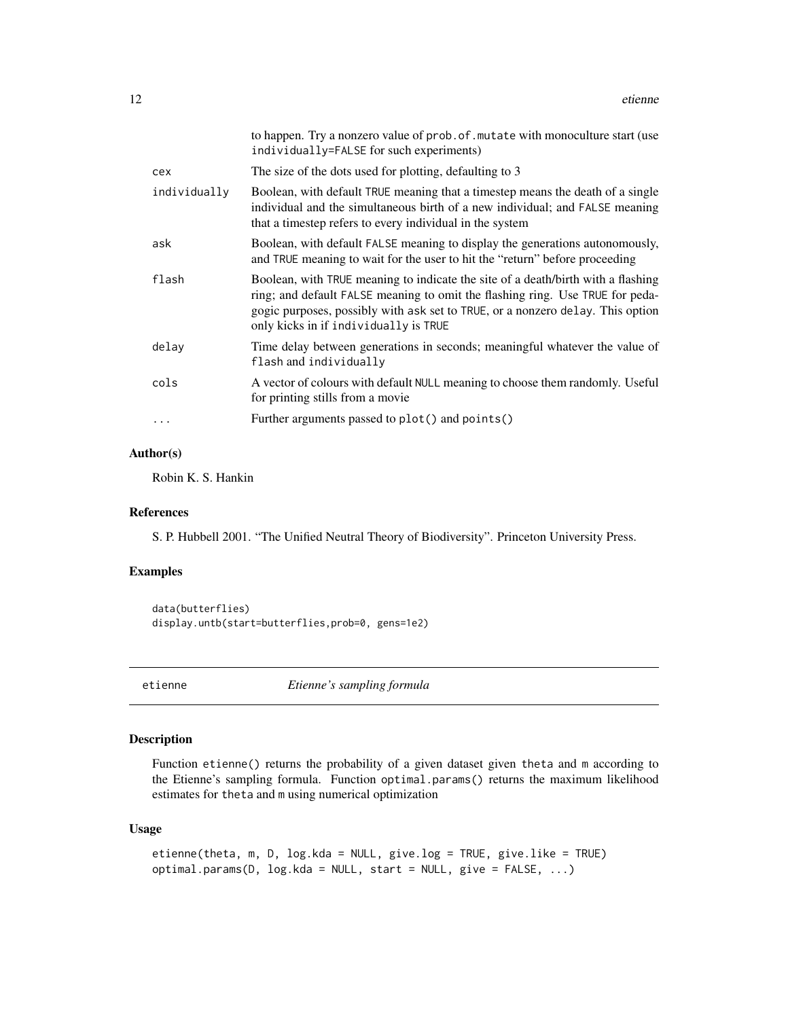<span id="page-11-0"></span>

|              | to happen. Try a nonzero value of prob. of mutate with monoculture start (use<br>individually=FALSE for such experiments)                                                                                                                                                                    |
|--------------|----------------------------------------------------------------------------------------------------------------------------------------------------------------------------------------------------------------------------------------------------------------------------------------------|
| cex          | The size of the dots used for plotting, defaulting to 3                                                                                                                                                                                                                                      |
| individually | Boolean, with default TRUE meaning that a timestep means the death of a single<br>individual and the simultaneous birth of a new individual; and FALSE meaning<br>that a timestep refers to every individual in the system                                                                   |
| ask          | Boolean, with default FALSE meaning to display the generations autonomously,<br>and TRUE meaning to wait for the user to hit the "return" before proceeding                                                                                                                                  |
| flash        | Boolean, with TRUE meaning to indicate the site of a death/birth with a flashing<br>ring; and default FALSE meaning to omit the flashing ring. Use TRUE for peda-<br>gogic purposes, possibly with ask set to TRUE, or a nonzero delay. This option<br>only kicks in if individually is TRUE |
| delay        | Time delay between generations in seconds; meaningful whatever the value of<br>flash and individually                                                                                                                                                                                        |
| cols         | A vector of colours with default NULL meaning to choose them randomly. Useful<br>for printing stills from a movie                                                                                                                                                                            |
| .            | Further arguments passed to plot() and points()                                                                                                                                                                                                                                              |

### Author(s)

Robin K. S. Hankin

### References

S. P. Hubbell 2001. "The Unified Neutral Theory of Biodiversity". Princeton University Press.

### Examples

```
data(butterflies)
display.untb(start=butterflies,prob=0, gens=1e2)
```
<span id="page-11-1"></span>

etienne *Etienne's sampling formula*

### <span id="page-11-2"></span>Description

Function etienne() returns the probability of a given dataset given theta and m according to the Etienne's sampling formula. Function optimal.params() returns the maximum likelihood estimates for theta and m using numerical optimization

### Usage

```
etienne(theta, m, D, log.kda = NULL, give.log = TRUE, give.like = TRUE)
optimal.params(D, log.kda = NULL, start = NULL, give = FALSE, ...)
```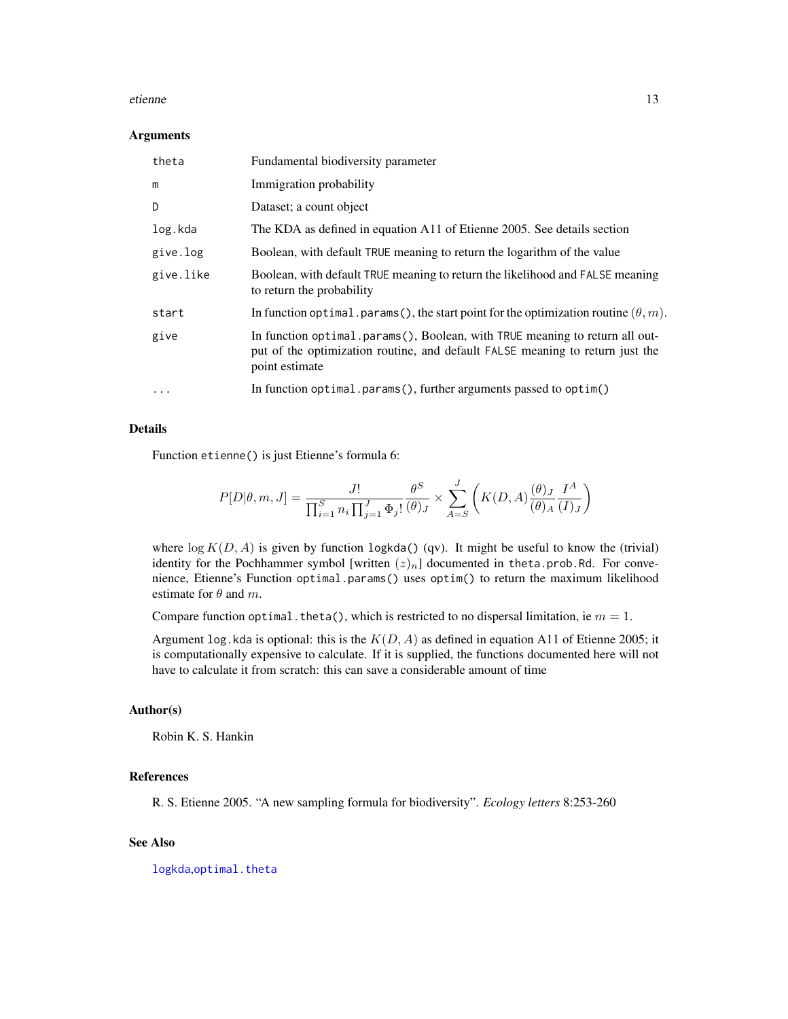#### <span id="page-12-0"></span>etienne aan de stel in de stel in de stel in de stel in de stel in de stel in de stel in de stel in de stel in<br>Tanton de la contradiction de la contradiction de la contradiction de la contradiction de la contradiction de

#### **Arguments**

| theta     | Fundamental biodiversity parameter                                                                                                                                             |
|-----------|--------------------------------------------------------------------------------------------------------------------------------------------------------------------------------|
| m         | Immigration probability                                                                                                                                                        |
| D         | Dataset; a count object                                                                                                                                                        |
| log.kda   | The KDA as defined in equation A11 of Etienne 2005. See details section                                                                                                        |
| give.log  | Boolean, with default TRUE meaning to return the logarithm of the value                                                                                                        |
| give.like | Boolean, with default TRUE meaning to return the likelihood and FALSE meaning<br>to return the probability                                                                     |
| start     | In function optimal. params (), the start point for the optimization routine $(\theta, m)$ .                                                                                   |
| give      | In function optimal.params(), Boolean, with TRUE meaning to return all out-<br>put of the optimization routine, and default FALSE meaning to return just the<br>point estimate |
| $\ddotsc$ | In function optimal.params(), further arguments passed to optim()                                                                                                              |

### Details

Function etienne() is just Etienne's formula 6:

$$
P[D|\theta,m,J] = \frac{J!}{\prod_{i=1}^S n_i \prod_{j=1}^J \Phi_j!} \frac{\theta^S}{(\theta)_J} \times \sum_{A=S}^J \left( K(D,A) \frac{(\theta)_J}{(\theta)_A} \frac{I^A}{(I)_J} \right)
$$

where  $\log K(D, A)$  is given by function logkda() (qv). It might be useful to know the (trivial) identity for the Pochhammer symbol [written  $(z)_n$ ] documented in theta.prob.Rd. For convenience, Etienne's Function optimal.params() uses optim() to return the maximum likelihood estimate for  $\theta$  and  $m$ .

Compare function optimal. theta(), which is restricted to no dispersal limitation, ie  $m = 1$ .

Argument log. kda is optional: this is the  $K(D, A)$  as defined in equation A11 of Etienne 2005; it is computationally expensive to calculate. If it is supplied, the functions documented here will not have to calculate it from scratch: this can save a considerable amount of time

#### Author(s)

Robin K. S. Hankin

#### References

R. S. Etienne 2005. "A new sampling formula for biodiversity". *Ecology letters* 8:253-260

### See Also

[logkda](#page-18-1),[optimal.theta](#page-25-1)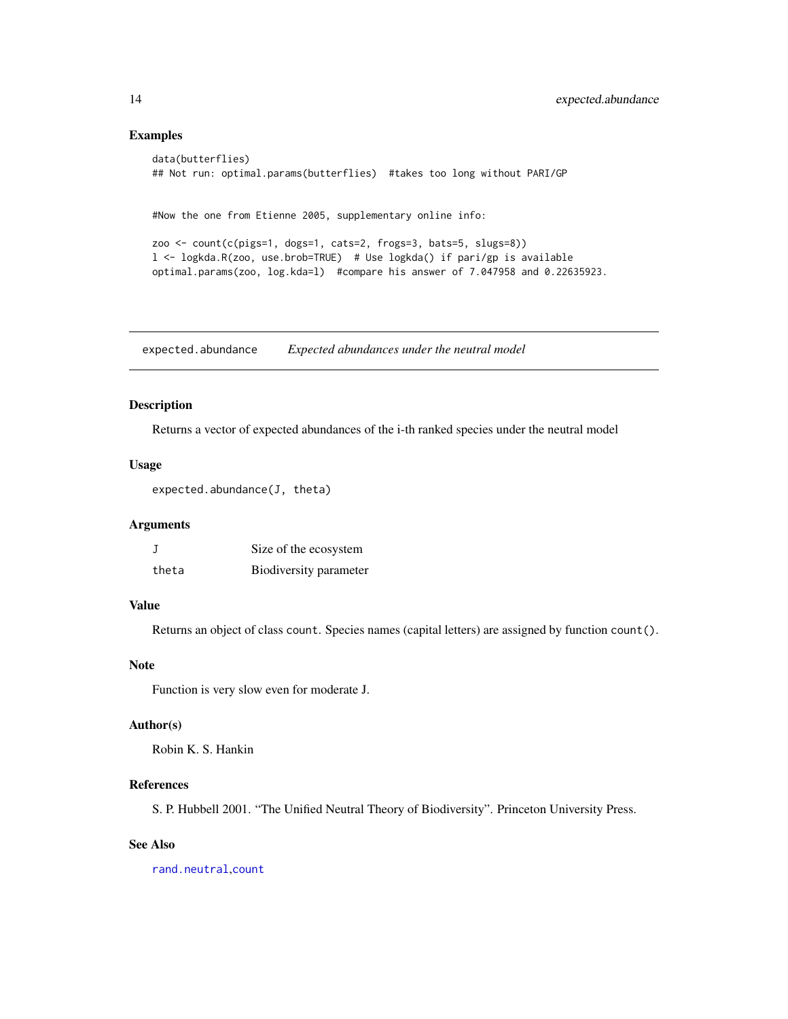#### Examples

```
data(butterflies)
## Not run: optimal.params(butterflies) #takes too long without PARI/GP
#Now the one from Etienne 2005, supplementary online info:
zoo <- count(c(pigs=1, dogs=1, cats=2, frogs=3, bats=5, slugs=8))
l <- logkda.R(zoo, use.brob=TRUE) # Use logkda() if pari/gp is available
optimal.params(zoo, log.kda=l) #compare his answer of 7.047958 and 0.22635923.
```
expected.abundance *Expected abundances under the neutral model*

#### Description

Returns a vector of expected abundances of the i-th ranked species under the neutral model

#### Usage

expected.abundance(J, theta)

### Arguments

|       | Size of the ecosystem  |
|-------|------------------------|
| theta | Biodiversity parameter |

### Value

Returns an object of class count. Species names (capital letters) are assigned by function count().

#### Note

Function is very slow even for moderate J.

#### Author(s)

Robin K. S. Hankin

### References

S. P. Hubbell 2001. "The Unified Neutral Theory of Biodiversity". Princeton University Press.

#### See Also

[rand.neutral](#page-31-1),[count](#page-9-1)

<span id="page-13-0"></span>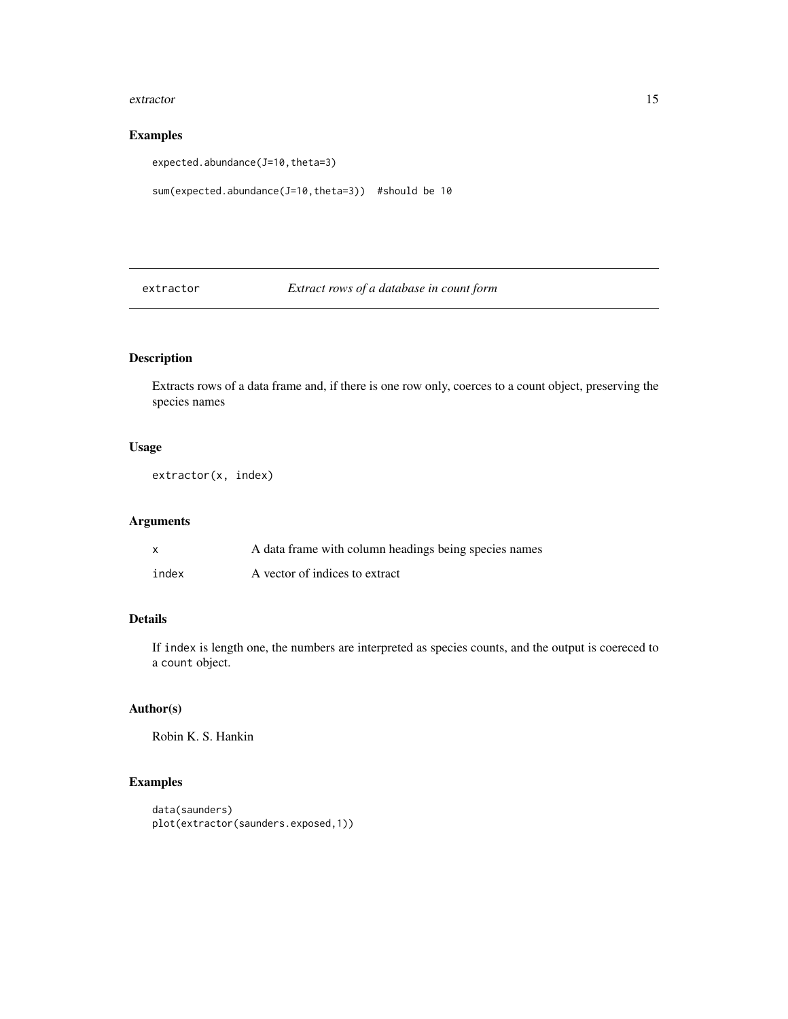#### <span id="page-14-0"></span>extractor and the set of the set of the set of the set of the set of the set of the set of the set of the set of the set of the set of the set of the set of the set of the set of the set of the set of the set of the set of

### Examples

expected.abundance(J=10,theta=3)

```
sum(expected.abundance(J=10,theta=3)) #should be 10
```
<span id="page-14-1"></span>extractor *Extract rows of a database in count form*

### Description

Extracts rows of a data frame and, if there is one row only, coerces to a count object, preserving the species names

### Usage

extractor(x, index)

### Arguments

| $\mathsf{x}$ | A data frame with column headings being species names |
|--------------|-------------------------------------------------------|
| index        | A vector of indices to extract                        |

### Details

If index is length one, the numbers are interpreted as species counts, and the output is coereced to a count object.

### Author(s)

Robin K. S. Hankin

```
data(saunders)
plot(extractor(saunders.exposed,1))
```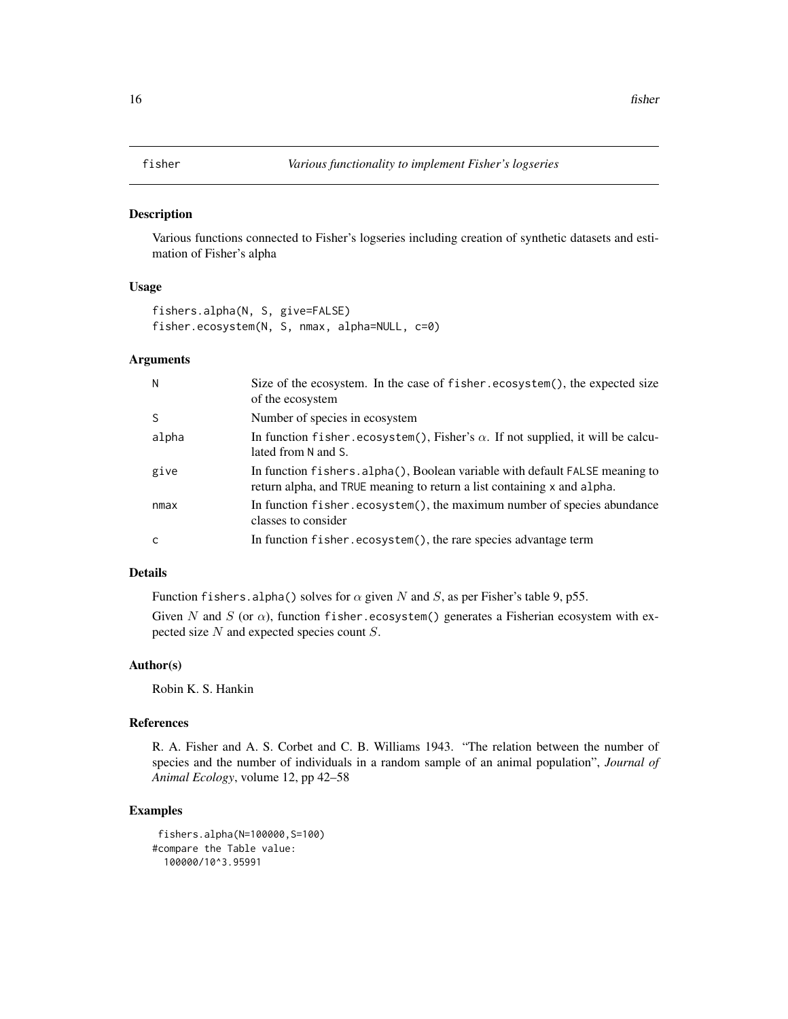<span id="page-15-0"></span>

Various functions connected to Fisher's logseries including creation of synthetic datasets and estimation of Fisher's alpha

#### Usage

fishers.alpha(N, S, give=FALSE) fisher.ecosystem(N, S, nmax, alpha=NULL, c=0)

### Arguments

| N     | Size of the ecosystem. In the case of fisher.ecosystem(), the expected size<br>of the ecosystem                                                         |
|-------|---------------------------------------------------------------------------------------------------------------------------------------------------------|
| S     | Number of species in ecosystem                                                                                                                          |
| alpha | In function fisher.ecosystem(), Fisher's $\alpha$ . If not supplied, it will be calcu-<br>lated from N and S.                                           |
| give  | In function fishers. alpha(), Boolean variable with default FALSE meaning to<br>return alpha, and TRUE meaning to return a list containing x and alpha. |
| nmax  | In function fisher.ecosystem(), the maximum number of species abundance<br>classes to consider                                                          |
| C     | In function fisher.ecosystem(), the rare species advantage term                                                                                         |

### Details

Function fishers.alpha() solves for  $\alpha$  given N and S, as per Fisher's table 9, p55.

Given N and S (or  $\alpha$ ), function fisher.ecosystem() generates a Fisherian ecosystem with expected size N and expected species count S.

### Author(s)

Robin K. S. Hankin

### References

R. A. Fisher and A. S. Corbet and C. B. Williams 1943. "The relation between the number of species and the number of individuals in a random sample of an animal population", *Journal of Animal Ecology*, volume 12, pp 42–58

```
fishers.alpha(N=100000,S=100)
#compare the Table value:
 100000/10^3.95991
```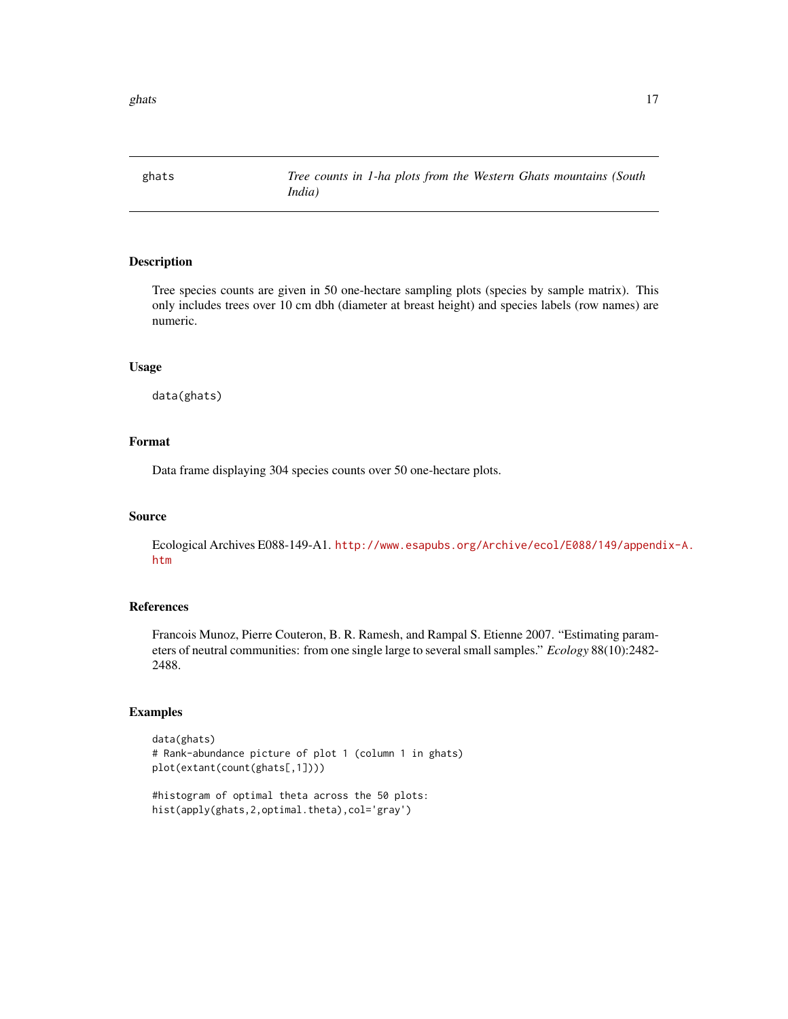<span id="page-16-0"></span>ghats  $17$ 

ghats *Tree counts in 1-ha plots from the Western Ghats mountains (South India)*

### Description

Tree species counts are given in 50 one-hectare sampling plots (species by sample matrix). This only includes trees over 10 cm dbh (diameter at breast height) and species labels (row names) are numeric.

### Usage

data(ghats)

### Format

Data frame displaying 304 species counts over 50 one-hectare plots.

### Source

Ecological Archives E088-149-A1. [http://www.esapubs.org/Archive/ecol/E088/149/append](http://www.esapubs.org/Archive/ecol/E088/149/appendix-A.htm)ix-A. [htm](http://www.esapubs.org/Archive/ecol/E088/149/appendix-A.htm)

### References

Francois Munoz, Pierre Couteron, B. R. Ramesh, and Rampal S. Etienne 2007. "Estimating parameters of neutral communities: from one single large to several small samples." *Ecology* 88(10):2482- 2488.

```
data(ghats)
# Rank-abundance picture of plot 1 (column 1 in ghats)
plot(extant(count(ghats[,1])))
```

```
#histogram of optimal theta across the 50 plots:
hist(apply(ghats,2,optimal.theta),col='gray')
```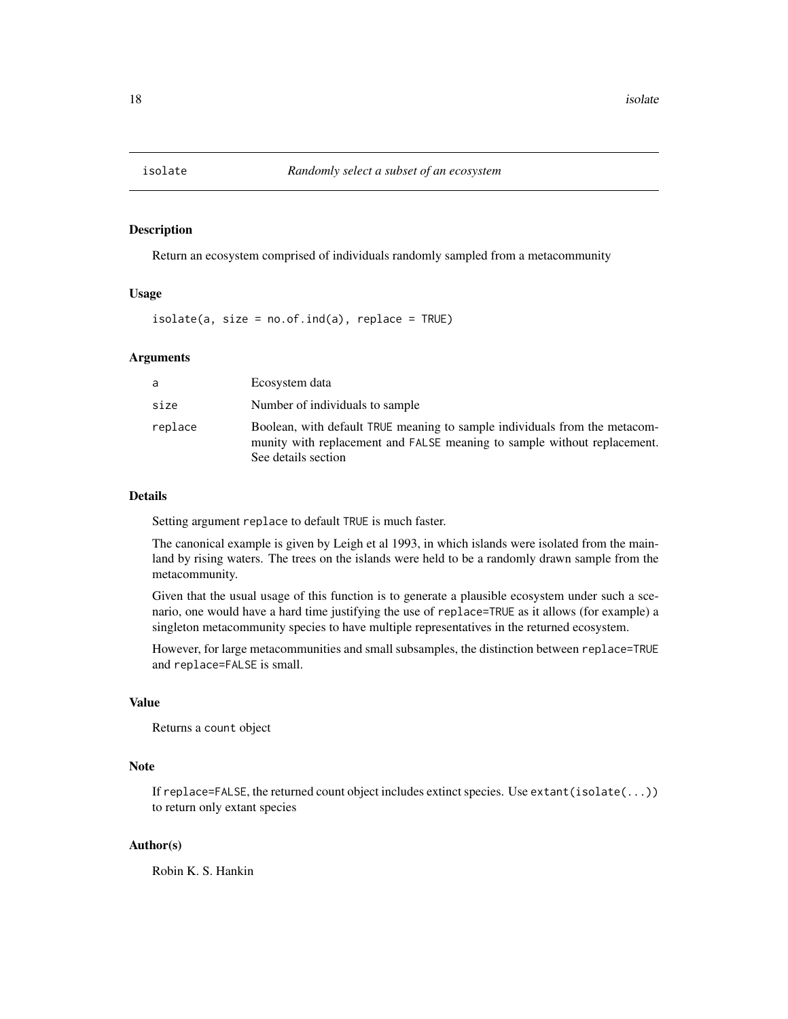<span id="page-17-0"></span>

Return an ecosystem comprised of individuals randomly sampled from a metacommunity

#### Usage

 $isolate(a, size = no.of.ind(a), replace = TRUE)$ 

### Arguments

| a       | Ecosystem data                                                                                                                                                                |
|---------|-------------------------------------------------------------------------------------------------------------------------------------------------------------------------------|
| size    | Number of individuals to sample                                                                                                                                               |
| replace | Boolean, with default TRUE meaning to sample individuals from the metacom-<br>munity with replacement and FALSE meaning to sample without replacement.<br>See details section |

#### Details

Setting argument replace to default TRUE is much faster.

The canonical example is given by Leigh et al 1993, in which islands were isolated from the mainland by rising waters. The trees on the islands were held to be a randomly drawn sample from the metacommunity.

Given that the usual usage of this function is to generate a plausible ecosystem under such a scenario, one would have a hard time justifying the use of replace=TRUE as it allows (for example) a singleton metacommunity species to have multiple representatives in the returned ecosystem.

However, for large metacommunities and small subsamples, the distinction between replace=TRUE and replace=FALSE is small.

#### Value

Returns a count object

### Note

If replace=FALSE, the returned count object includes extinct species. Use extant(isolate(...)) to return only extant species

### Author(s)

Robin K. S. Hankin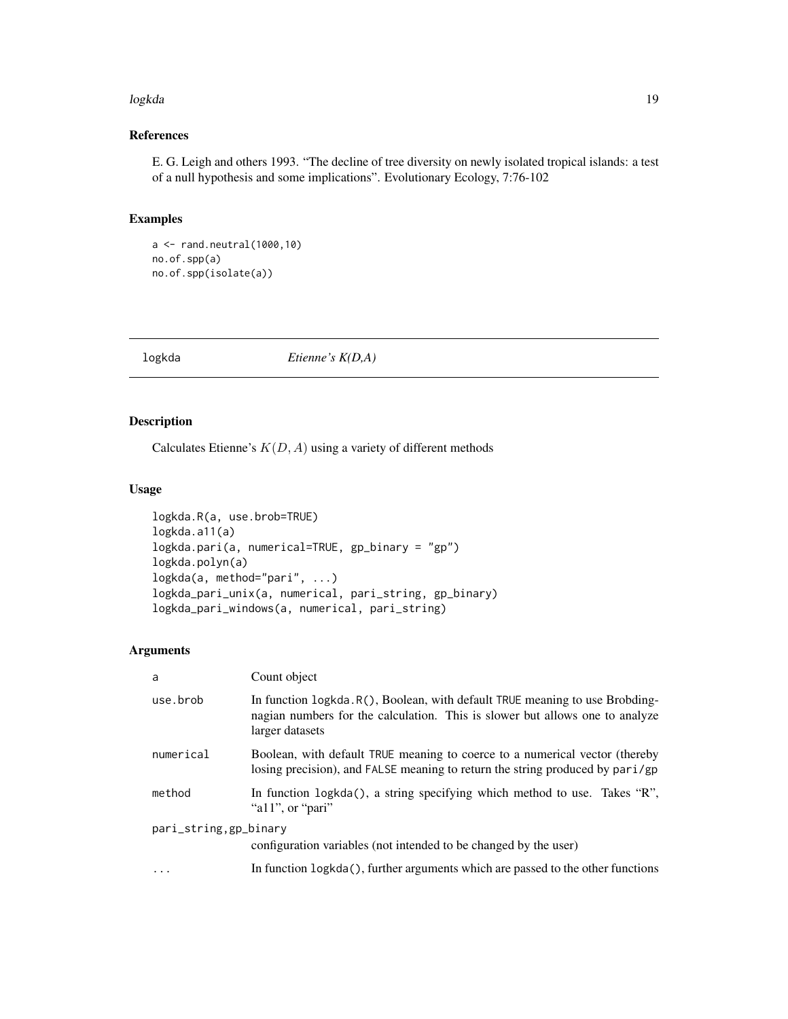#### <span id="page-18-0"></span>logkda 19

### References

E. G. Leigh and others 1993. "The decline of tree diversity on newly isolated tropical islands: a test of a null hypothesis and some implications". Evolutionary Ecology, 7:76-102

### Examples

```
a \leftarrow rand.neutral(1000,10)
no.of.spp(a)
no.of.spp(isolate(a))
```
<span id="page-18-1"></span>

logkda *Etienne's K(D,A)*

### Description

Calculates Etienne's  $K(D, A)$  using a variety of different methods

### Usage

```
logkda.R(a, use.brob=TRUE)
logkda.a11(a)
logkda.pari(a, numerical=TRUE, gp_binary = "gp")
logkda.polyn(a)
logkda(a, method="pari", ...)
logkda_pari_unix(a, numerical, pari_string, gp_binary)
logkda_pari_windows(a, numerical, pari_string)
```
### Arguments

| a                      | Count object                                                                                                                                                                    |  |  |  |  |  |  |
|------------------------|---------------------------------------------------------------------------------------------------------------------------------------------------------------------------------|--|--|--|--|--|--|
| use.brob               | In function logkda. R(), Boolean, with default TRUE meaning to use Brobding-<br>nagian numbers for the calculation. This is slower but allows one to analyze<br>larger datasets |  |  |  |  |  |  |
| numerical              | Boolean, with default TRUE meaning to coerce to a numerical vector (thereby<br>losing precision), and FALSE meaning to return the string produced by pari/gp                    |  |  |  |  |  |  |
| method                 | In function logkda(), a string specifying which method to use. Takes "R",<br>"a11", or "pari"                                                                                   |  |  |  |  |  |  |
| pari_string, gp_binary | configuration variables (not intended to be changed by the user)                                                                                                                |  |  |  |  |  |  |
| $\cdots$               | In function $logkda()$ , further arguments which are passed to the other functions                                                                                              |  |  |  |  |  |  |
|                        |                                                                                                                                                                                 |  |  |  |  |  |  |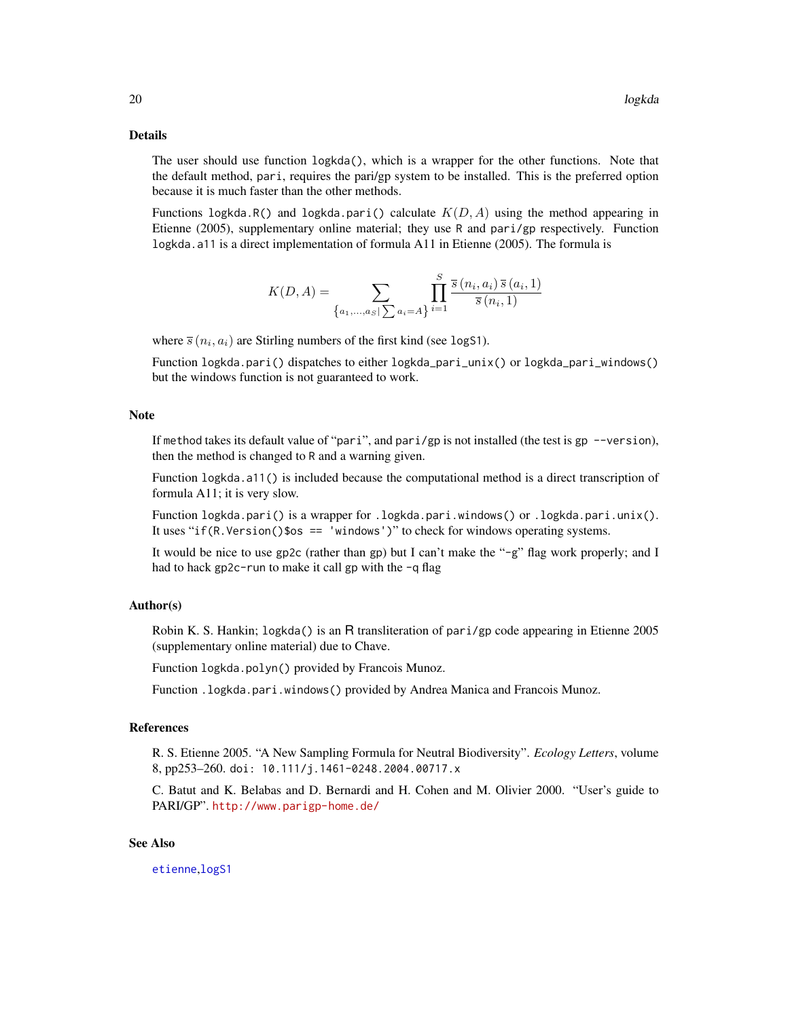#### <span id="page-19-0"></span>Details

The user should use function logkda(), which is a wrapper for the other functions. Note that the default method, pari, requires the pari/gp system to be installed. This is the preferred option because it is much faster than the other methods.

Functions logkda.R() and logkda.pari() calculate  $K(D, A)$  using the method appearing in Etienne (2005), supplementary online material; they use R and pari/gp respectively. Function logkda.a11 is a direct implementation of formula A11 in Etienne (2005). The formula is

$$
K(D, A) = \sum_{\{a_1, \ldots, a_S \mid \sum a_i = A\}} \prod_{i=1}^S \frac{\overline{s}(n_i, a_i) \,\overline{s}(a_i, 1)}{\overline{s}(n_i, 1)}
$$

where  $\bar{s}(n_i, a_i)$  are Stirling numbers of the first kind (see logS1).

Function logkda.pari() dispatches to either logkda\_pari\_unix() or logkda\_pari\_windows() but the windows function is not guaranteed to work.

#### Note

If method takes its default value of "pari", and pari/gp is not installed (the test is gp  $-$ version), then the method is changed to R and a warning given.

Function logkda.a11() is included because the computational method is a direct transcription of formula A11; it is very slow.

Function logkda.pari() is a wrapper for .logkda.pari.windows() or .logkda.pari.unix(). It uses "if(R.Version()\$os == 'windows')" to check for windows operating systems.

It would be nice to use gp2c (rather than gp) but I can't make the "-g" flag work properly; and I had to hack gp2c-run to make it call gp with the -q flag

### Author(s)

Robin K. S. Hankin; logkda() is an R transliteration of pari/gp code appearing in Etienne 2005 (supplementary online material) due to Chave.

Function logkda.polyn() provided by Francois Munoz.

Function .logkda.pari.windows() provided by Andrea Manica and Francois Munoz.

### References

R. S. Etienne 2005. "A New Sampling Formula for Neutral Biodiversity". *Ecology Letters*, volume 8, pp253–260. doi: 10.111/j.1461-0248.2004.00717.x

C. Batut and K. Belabas and D. Bernardi and H. Cohen and M. Olivier 2000. "User's guide to PARI/GP". <http://www.parigp-home.de/>

#### See Also

[etienne](#page-11-1),[logS1](#page-20-1)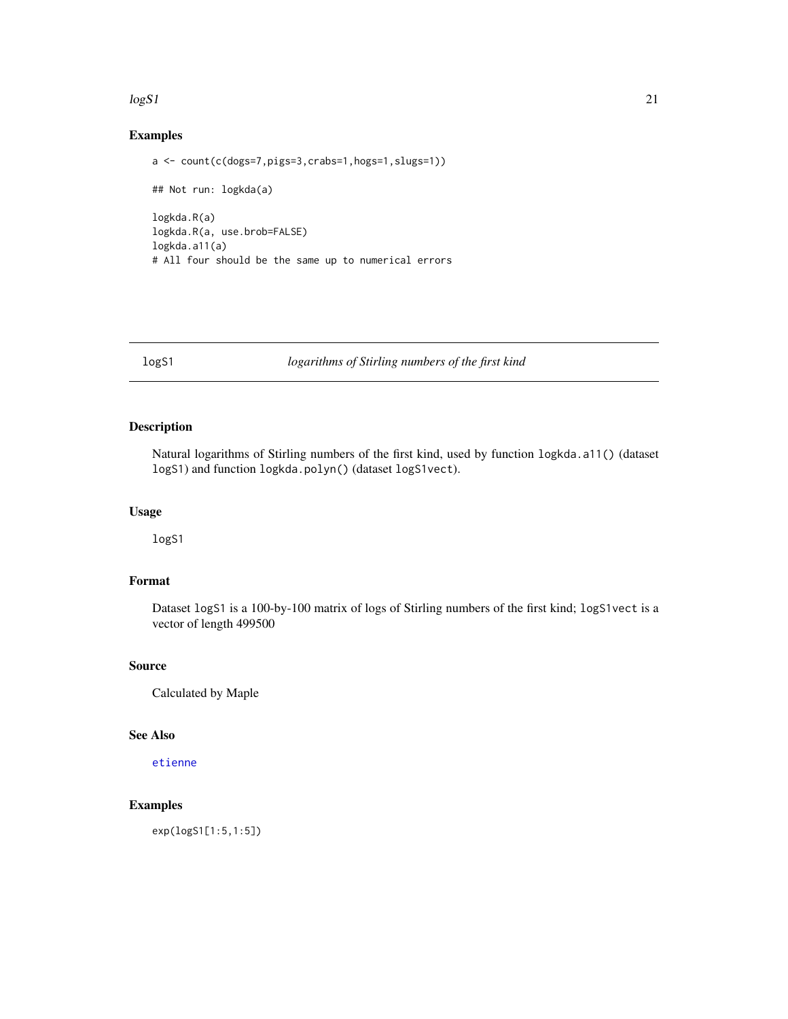#### <span id="page-20-0"></span> $\log S1$  21

### Examples

```
a <- count(c(dogs=7,pigs=3,crabs=1,hogs=1,slugs=1))
## Not run: logkda(a)
logkda.R(a)
logkda.R(a, use.brob=FALSE)
logkda.a11(a)
# All four should be the same up to numerical errors
```
<span id="page-20-1"></span>logS1 *logarithms of Stirling numbers of the first kind*

### Description

Natural logarithms of Stirling numbers of the first kind, used by function logkda.a11() (dataset logS1) and function logkda.polyn() (dataset logS1vect).

#### Usage

logS1

### Format

Dataset logS1 is a 100-by-100 matrix of logs of Stirling numbers of the first kind; logS1vect is a vector of length 499500

### Source

Calculated by Maple

### See Also

[etienne](#page-11-1)

### Examples

exp(logS1[1:5,1:5])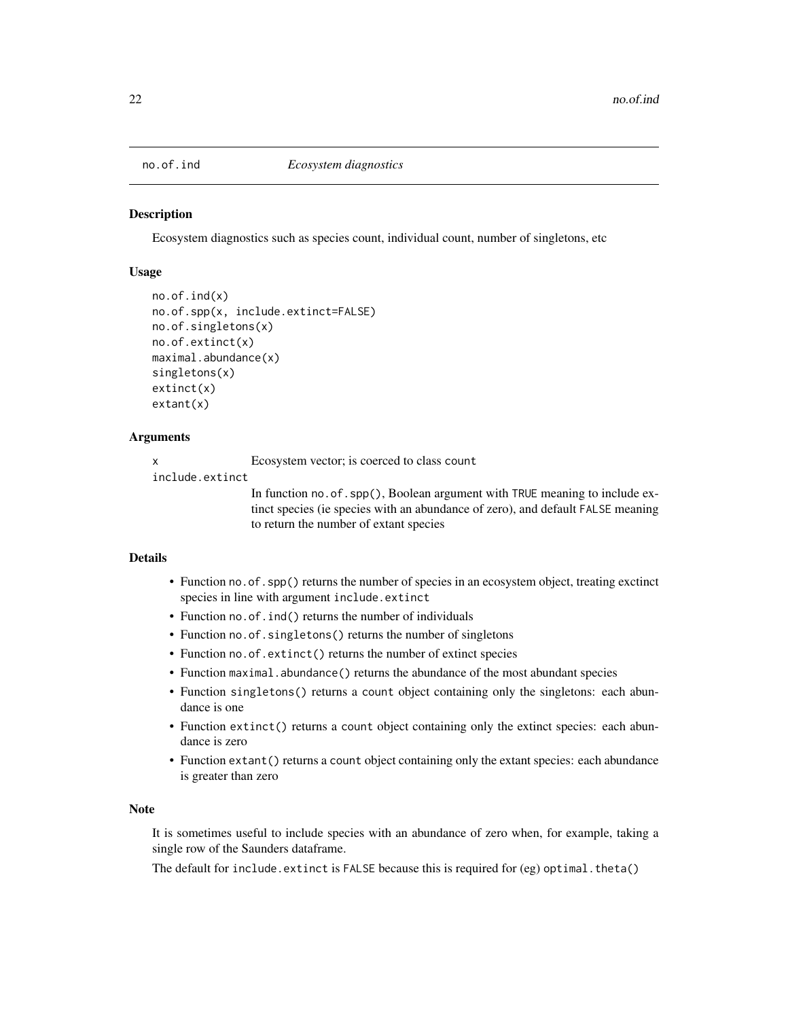<span id="page-21-0"></span>

Ecosystem diagnostics such as species count, individual count, number of singletons, etc

#### Usage

```
no.of.ind(x)
no.of.spp(x, include.extinct=FALSE)
no.of.singletons(x)
no.of.extinct(x)
maximal.abundance(x)
singletons(x)
extinct(x)
extant(x)
```
#### Arguments

x Ecosystem vector; is coerced to class count

include.extinct

In function no.of.spp(), Boolean argument with TRUE meaning to include extinct species (ie species with an abundance of zero), and default FALSE meaning to return the number of extant species

### Details

- Function no.of.spp() returns the number of species in an ecosystem object, treating exctinct species in line with argument include.extinct
- Function no.of.ind() returns the number of individuals
- Function no.of.singletons() returns the number of singletons
- Function no.of.extinct() returns the number of extinct species
- Function maximal.abundance() returns the abundance of the most abundant species
- Function singletons() returns a count object containing only the singletons: each abundance is one
- Function extinct() returns a count object containing only the extinct species: each abundance is zero
- Function extant() returns a count object containing only the extant species: each abundance is greater than zero

#### Note

It is sometimes useful to include species with an abundance of zero when, for example, taking a single row of the Saunders dataframe.

The default for include.extinct is FALSE because this is required for (eg) optimal.theta()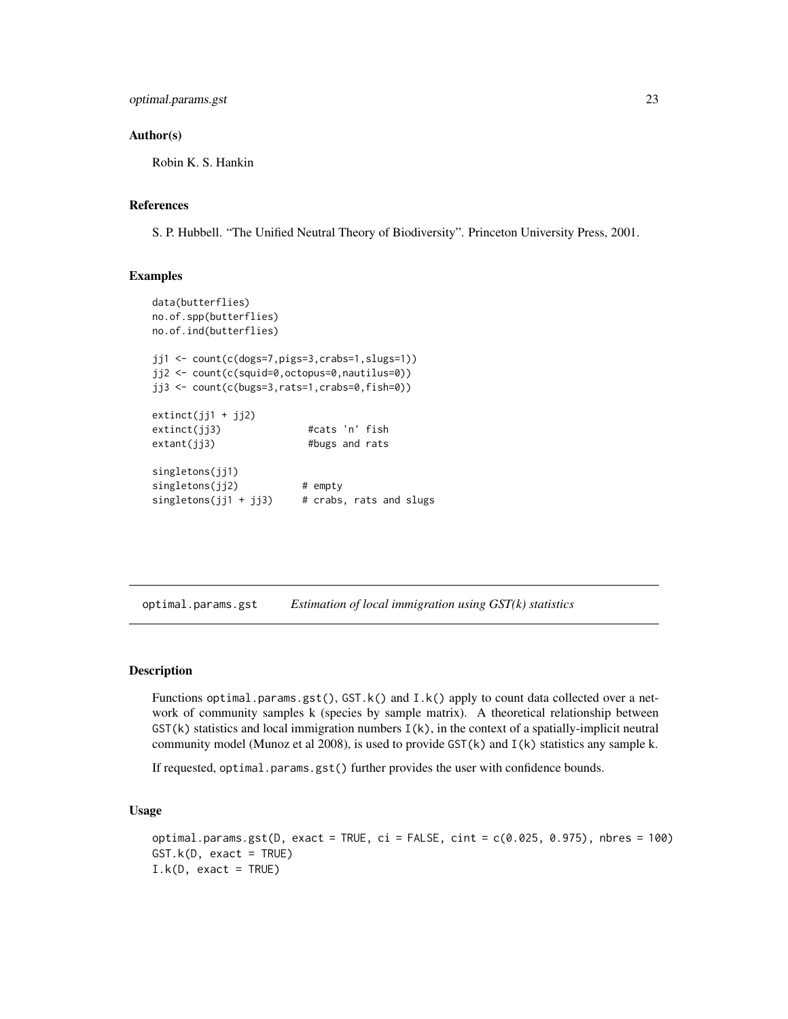#### <span id="page-22-0"></span>Author(s)

Robin K. S. Hankin

#### References

S. P. Hubbell. "The Unified Neutral Theory of Biodiversity". Princeton University Press, 2001.

#### Examples

```
data(butterflies)
no.of.spp(butterflies)
no.of.ind(butterflies)
jj1 <- count(c(dogs=7,pigs=3,crabs=1,slugs=1))
jj2 <- count(c(squid=0,octopus=0,nautilus=0))
jj3 <- count(c(bugs=3,rats=1,crabs=0,fish=0))
extinct(jj1 + jj2)extinct(jj3) #cats 'n' fish
extant(jj3) #bugs and rats
singletons(jj1)
singletons(jj2) # empty
singletons(jj1 + jj3) # crabs, rats and slugs
```
<span id="page-22-1"></span>optimal.params.gst *Estimation of local immigration using GST(k) statistics*

#### Description

Functions optimal.params.gst(), GST.k() and I.k() apply to count data collected over a network of community samples k (species by sample matrix). A theoretical relationship between  $GST(k)$  statistics and local immigration numbers  $I(k)$ , in the context of a spatially-implicit neutral community model (Munoz et al 2008), is used to provide  $GST(k)$  and  $I(k)$  statistics any sample k.

If requested, optimal.params.gst() further provides the user with confidence bounds.

#### Usage

```
optimal.params.gst(D, exact = TRUE, ci = FALSE, cint = c(0.025, 0.975), nbres = 100)
GST.k(D, exact = TRUE)
I.k(D, exact = TRUE)
```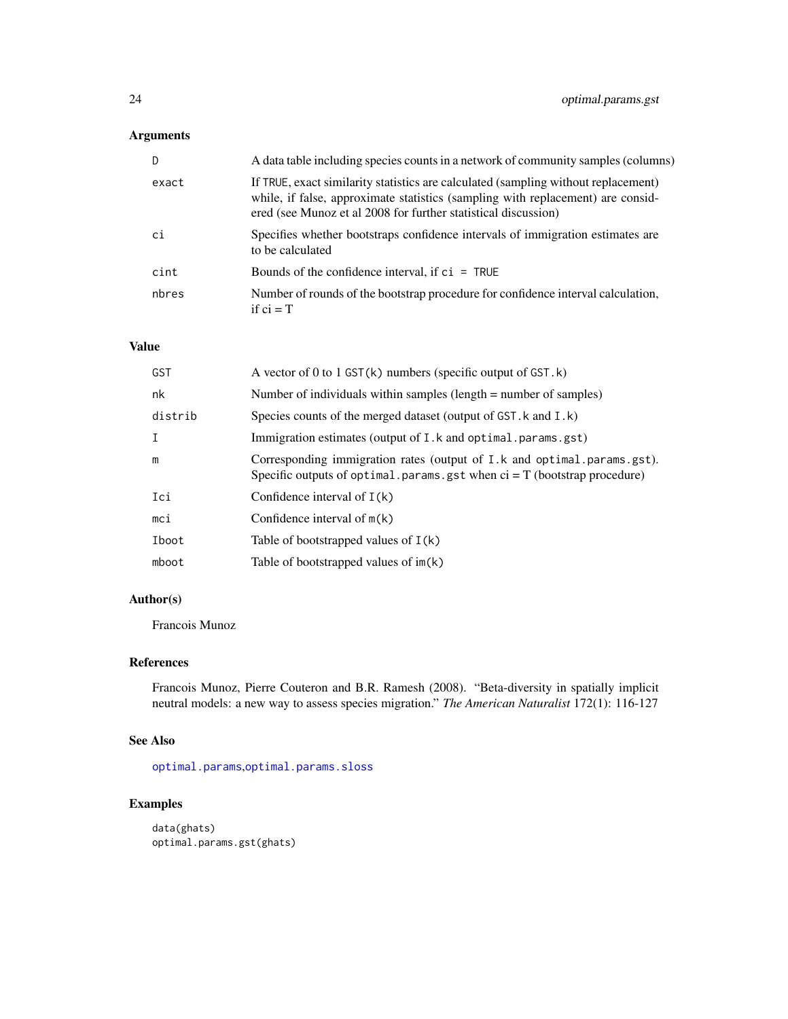### <span id="page-23-0"></span>Arguments

| D.    | A data table including species counts in a network of community samples (columns)                                                                                                                                                       |
|-------|-----------------------------------------------------------------------------------------------------------------------------------------------------------------------------------------------------------------------------------------|
| exact | If TRUE, exact similarity statistics are calculated (sampling without replacement)<br>while, if false, approximate statistics (sampling with replacement) are consid-<br>ered (see Munoz et al 2008 for further statistical discussion) |
| ci    | Specifies whether bootstraps confidence intervals of immigration estimates are<br>to be calculated                                                                                                                                      |
| cint  | Bounds of the confidence interval, if $ci = TRUE$                                                                                                                                                                                       |
| nbres | Number of rounds of the bootstrap procedure for confidence interval calculation,<br>if $ci = T$                                                                                                                                         |

### Value

| GST         | A vector of 0 to 1 GST( $k$ ) numbers (specific output of GST. $k$ )                                                                                    |
|-------------|---------------------------------------------------------------------------------------------------------------------------------------------------------|
| nk          | Number of individuals within samples (length $=$ number of samples)                                                                                     |
| distrib     | Species counts of the merged dataset (output of GST. k and I.k)                                                                                         |
| $\mathbf I$ | Immigration estimates (output of I.k and optimal .params.gst)                                                                                           |
| m           | Corresponding immigration rates (output of I.k and optimal.params.gst).<br>Specific outputs of optimal. params. gst when $ci = T$ (bootstrap procedure) |
| Ici         | Confidence interval of $I(k)$                                                                                                                           |
| mci         | Confidence interval of $m(k)$                                                                                                                           |
| Iboot       | Table of bootstrapped values of $I(k)$                                                                                                                  |
| mboot       | Table of bootstrapped values of $im(k)$                                                                                                                 |

### Author(s)

Francois Munoz

### References

Francois Munoz, Pierre Couteron and B.R. Ramesh (2008). "Beta-diversity in spatially implicit neutral models: a new way to assess species migration." *The American Naturalist* 172(1): 116-127

### See Also

[optimal.params](#page-11-2),[optimal.params.sloss](#page-24-1)

```
data(ghats)
optimal.params.gst(ghats)
```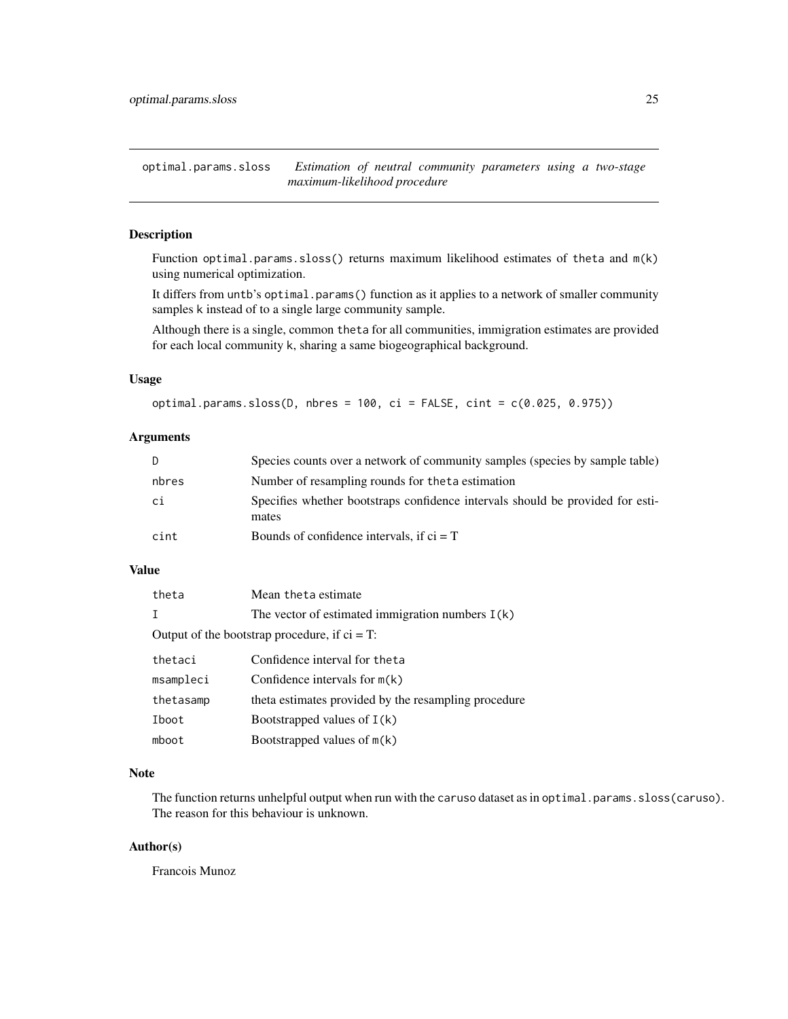<span id="page-24-1"></span><span id="page-24-0"></span>optimal.params.sloss *Estimation of neutral community parameters using a two-stage maximum-likelihood procedure*

### Description

Function optimal.params.sloss() returns maximum likelihood estimates of theta and m(k) using numerical optimization.

It differs from untb's optimal.params() function as it applies to a network of smaller community samples k instead of to a single large community sample.

Although there is a single, common theta for all communities, immigration estimates are provided for each local community k, sharing a same biogeographical background.

#### Usage

```
optimal.params.sloss(D, nbres = 100, ci = FALSE, cint = c(0.025, 0.975))
```
#### Arguments

| D.    | Species counts over a network of community samples (species by sample table)            |
|-------|-----------------------------------------------------------------------------------------|
| nbres | Number of resampling rounds for the ta estimation                                       |
| ci    | Specifies whether bootstraps confidence intervals should be provided for esti-<br>mates |
| cint  | Bounds of confidence intervals, if $ci = T$                                             |

#### Value

| theta     | Mean theta estimate                                  |  |  |  |  |  |
|-----------|------------------------------------------------------|--|--|--|--|--|
| Т         | The vector of estimated immigration numbers $I(k)$   |  |  |  |  |  |
|           | Output of the bootstrap procedure, if $ci = T$ :     |  |  |  |  |  |
| thetaci   | Confidence interval for the ta                       |  |  |  |  |  |
| msampleci | Confidence intervals for $m(k)$                      |  |  |  |  |  |
| thetasamp | theta estimates provided by the resampling procedure |  |  |  |  |  |
| Iboot     | Bootstrapped values of $I(k)$                        |  |  |  |  |  |
| mboot     | Bootstrapped values of $m(k)$                        |  |  |  |  |  |

#### Note

The function returns unhelpful output when run with the caruso dataset as in optimal.params.sloss(caruso). The reason for this behaviour is unknown.

### Author(s)

Francois Munoz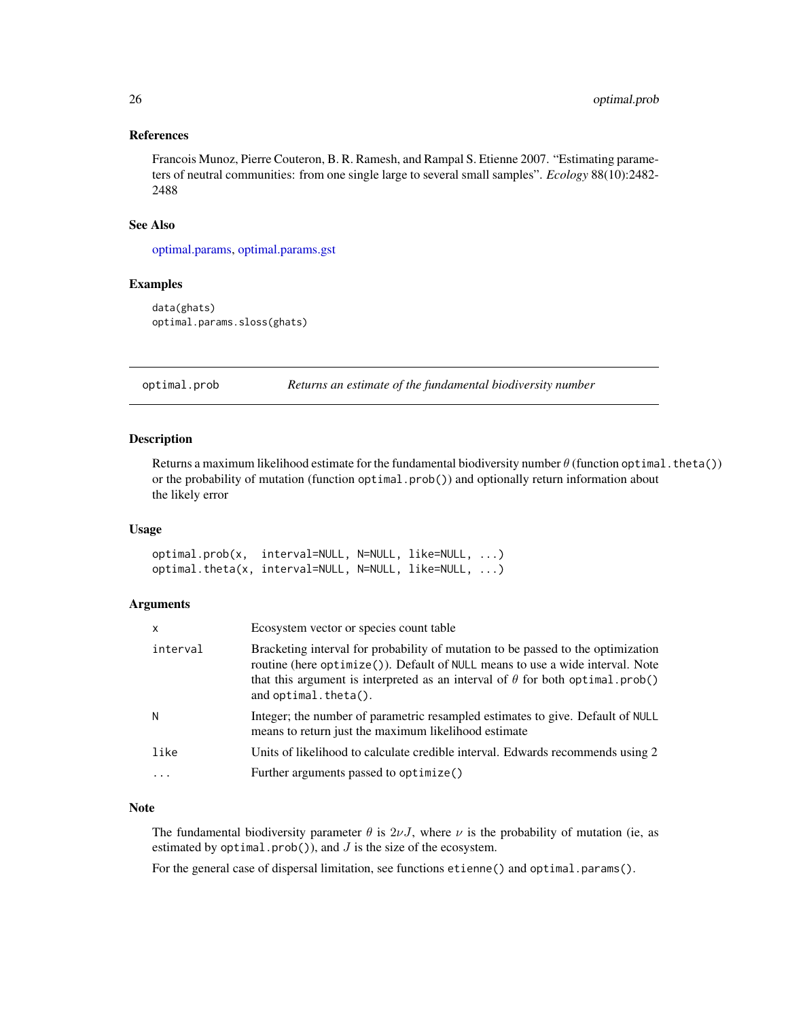#### <span id="page-25-0"></span>References

Francois Munoz, Pierre Couteron, B. R. Ramesh, and Rampal S. Etienne 2007. "Estimating parameters of neutral communities: from one single large to several small samples". *Ecology* 88(10):2482- 2488

### See Also

[optimal.params,](#page-11-2) [optimal.params.gst](#page-22-1)

#### Examples

data(ghats) optimal.params.sloss(ghats)

<span id="page-25-2"></span>optimal.prob *Returns an estimate of the fundamental biodiversity number*

### <span id="page-25-1"></span>Description

Returns a maximum likelihood estimate for the fundamental biodiversity number  $\theta$  (function optimal.theta()) or the probability of mutation (function optimal.prob()) and optionally return information about the likely error

#### Usage

optimal.prob(x, interval=NULL, N=NULL, like=NULL, ...) optimal.theta(x, interval=NULL, N=NULL, like=NULL, ...)

#### Arguments

| $\mathsf{x}$ | Ecosystem vector or species count table                                                                                                                                                                                                                                              |
|--------------|--------------------------------------------------------------------------------------------------------------------------------------------------------------------------------------------------------------------------------------------------------------------------------------|
| interval     | Bracketing interval for probability of mutation to be passed to the optimization<br>routine (here optimize()). Default of NULL means to use a wide interval. Note<br>that this argument is interpreted as an interval of $\theta$ for both optimal.prob()<br>and $optimal.theta()$ . |
| N            | Integer; the number of parametric resampled estimates to give. Default of NULL<br>means to return just the maximum likelihood estimate                                                                                                                                               |
| like         | Units of likelihood to calculate credible interval. Edwards recommends using 2                                                                                                                                                                                                       |
|              | Further arguments passed to optimize()                                                                                                                                                                                                                                               |

#### Note

The fundamental biodiversity parameter  $\theta$  is  $2\nu J$ , where  $\nu$  is the probability of mutation (ie, as estimated by  $optimal.pop()$ , and  $J$  is the size of the ecosystem.

For the general case of dispersal limitation, see functions etienne() and optimal.params().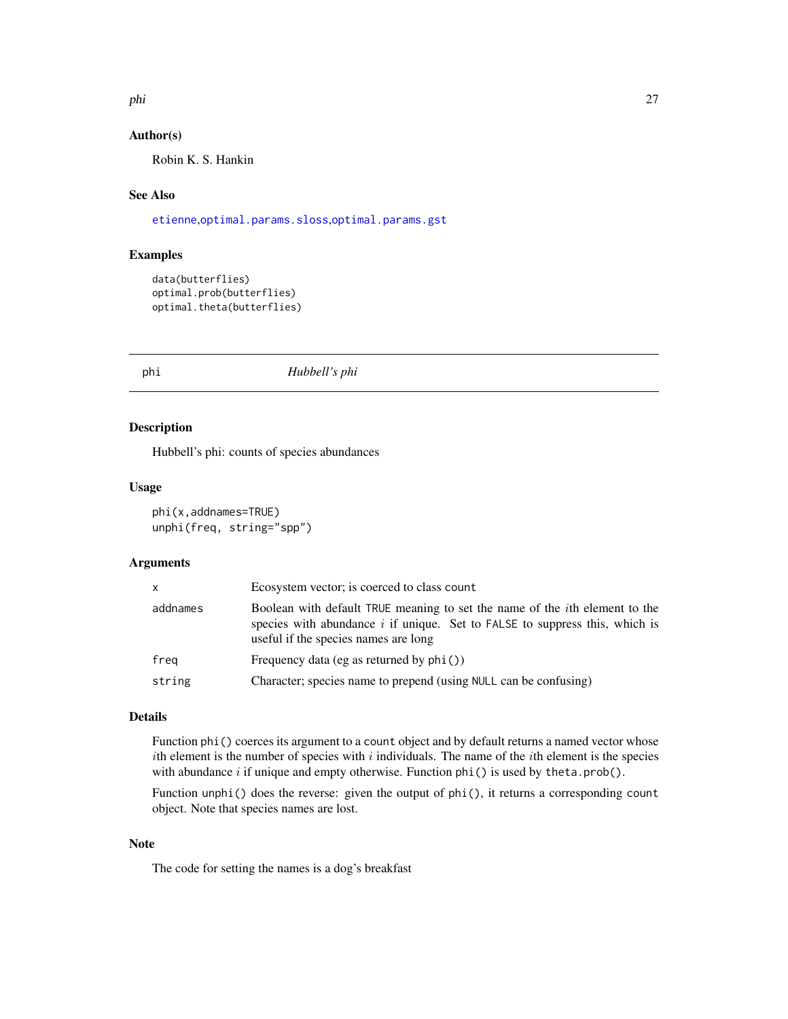<span id="page-26-0"></span>phi 27

### Author(s)

Robin K. S. Hankin

### See Also

[etienne](#page-11-1),[optimal.params.sloss](#page-24-1),[optimal.params.gst](#page-22-1)

### Examples

```
data(butterflies)
optimal.prob(butterflies)
optimal.theta(butterflies)
```
<span id="page-26-1"></span>phi *Hubbell's phi*

### Description

Hubbell's phi: counts of species abundances

### Usage

phi(x,addnames=TRUE) unphi(freq, string="spp")

#### Arguments

| X        | Ecosystem vector; is coerced to class count                                                                                                                                                                  |
|----------|--------------------------------------------------------------------------------------------------------------------------------------------------------------------------------------------------------------|
| addnames | Boolean with default TRUE meaning to set the name of the <i>i</i> th element to the<br>species with abundance $i$ if unique. Set to FALSE to suppress this, which is<br>useful if the species names are long |
| freg     | Frequency data (eg as returned by $phi()$ )                                                                                                                                                                  |
| string   | Character; species name to prepend (using NULL can be confusing)                                                                                                                                             |

### Details

Function phi() coerces its argument to a count object and by default returns a named vector whose ith element is the number of species with  $i$  individuals. The name of the *i*th element is the species with abundance  $i$  if unique and empty otherwise. Function  $phi()$  is used by theta.prob().

Function unphi() does the reverse: given the output of phi(), it returns a corresponding count object. Note that species names are lost.

### Note

The code for setting the names is a dog's breakfast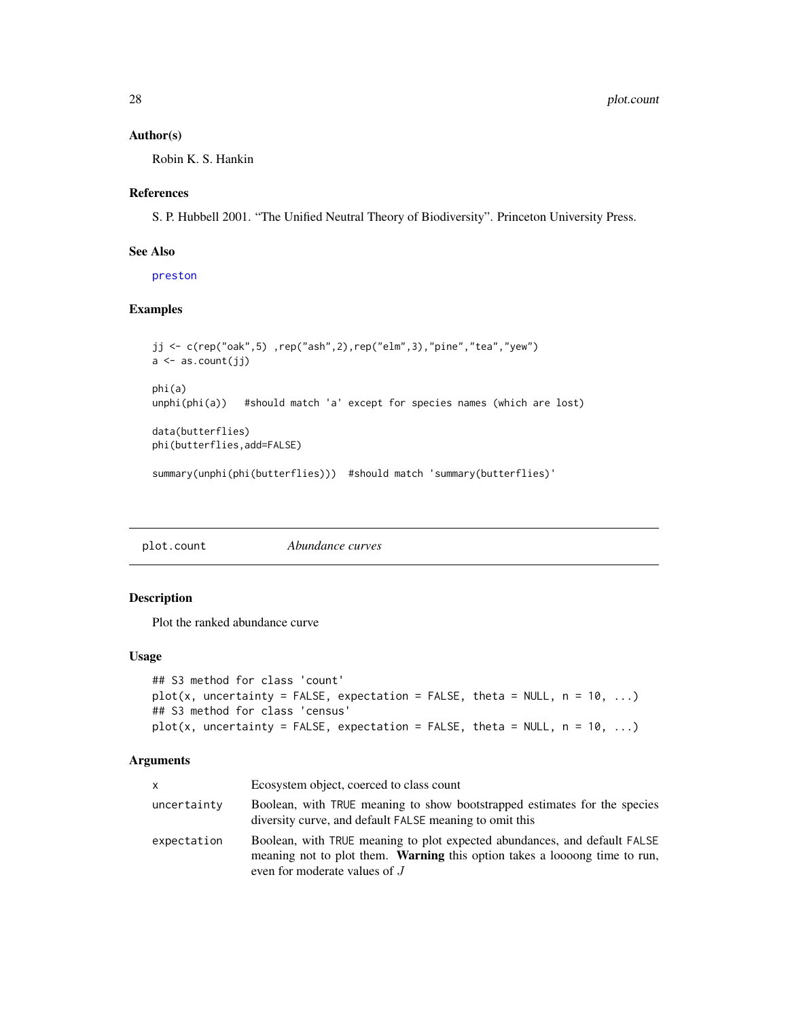#### <span id="page-27-0"></span>Author(s)

Robin K. S. Hankin

#### References

S. P. Hubbell 2001. "The Unified Neutral Theory of Biodiversity". Princeton University Press.

#### See Also

[preston](#page-28-1)

### Examples

```
jj <- c(rep("oak",5) ,rep("ash",2),rep("elm",3),"pine","tea","yew")
a \leftarrow as.count(jj)phi(a)
unphi(phi(a)) #should match 'a' except for species names (which are lost)
data(butterflies)
phi(butterflies,add=FALSE)
```
summary(unphi(phi(butterflies))) #should match 'summary(butterflies)'

| plot.count | Abundance curves |
|------------|------------------|
|------------|------------------|

### Description

Plot the ranked abundance curve

#### Usage

```
## S3 method for class 'count'
plot(x, uncertainty = FALSE, expectation = FALSE, theta = NULL, n = 10, ...)## S3 method for class 'census'
plot(x, uncertainty = FALSE, expectation = FALSE, theta = NULL, n = 10, ...)
```
#### Arguments

| X           | Ecosystem object, coerced to class count                                                                                                                                                        |
|-------------|-------------------------------------------------------------------------------------------------------------------------------------------------------------------------------------------------|
| uncertainty | Boolean, with TRUE meaning to show bootstrapped estimates for the species<br>diversity curve, and default FALSE meaning to omit this                                                            |
| expectation | Boolean, with TRUE meaning to plot expected abundances, and default FALSE<br>meaning not to plot them. <b>Warning</b> this option takes a loosong time to run,<br>even for moderate values of J |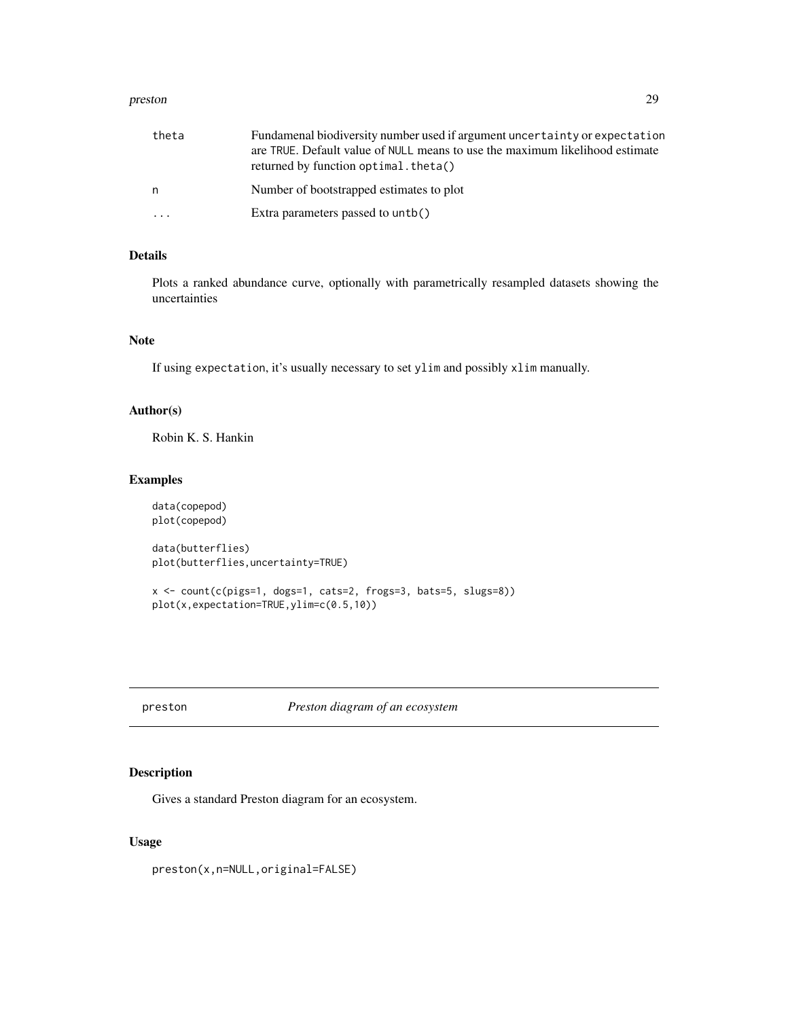#### <span id="page-28-0"></span>preston 29

| theta     | Fundamenal biodiversity number used if argument uncertainty or expectation<br>are TRUE. Default value of NULL means to use the maximum likelihood estimate<br>returned by function optimal. theta() |
|-----------|-----------------------------------------------------------------------------------------------------------------------------------------------------------------------------------------------------|
| n         | Number of bootstrapped estimates to plot                                                                                                                                                            |
| $\ddotsc$ | Extra parameters passed to untb()                                                                                                                                                                   |

### Details

Plots a ranked abundance curve, optionally with parametrically resampled datasets showing the uncertainties

### Note

If using expectation, it's usually necessary to set ylim and possibly xlim manually.

### Author(s)

Robin K. S. Hankin

### Examples

data(copepod) plot(copepod) data(butterflies)

plot(butterflies,uncertainty=TRUE)

```
x <- count(c(pigs=1, dogs=1, cats=2, frogs=3, bats=5, slugs=8))
plot(x,expectation=TRUE,ylim=c(0.5,10))
```
<span id="page-28-1"></span>preston *Preston diagram of an ecosystem*

### Description

Gives a standard Preston diagram for an ecosystem.

### Usage

preston(x,n=NULL,original=FALSE)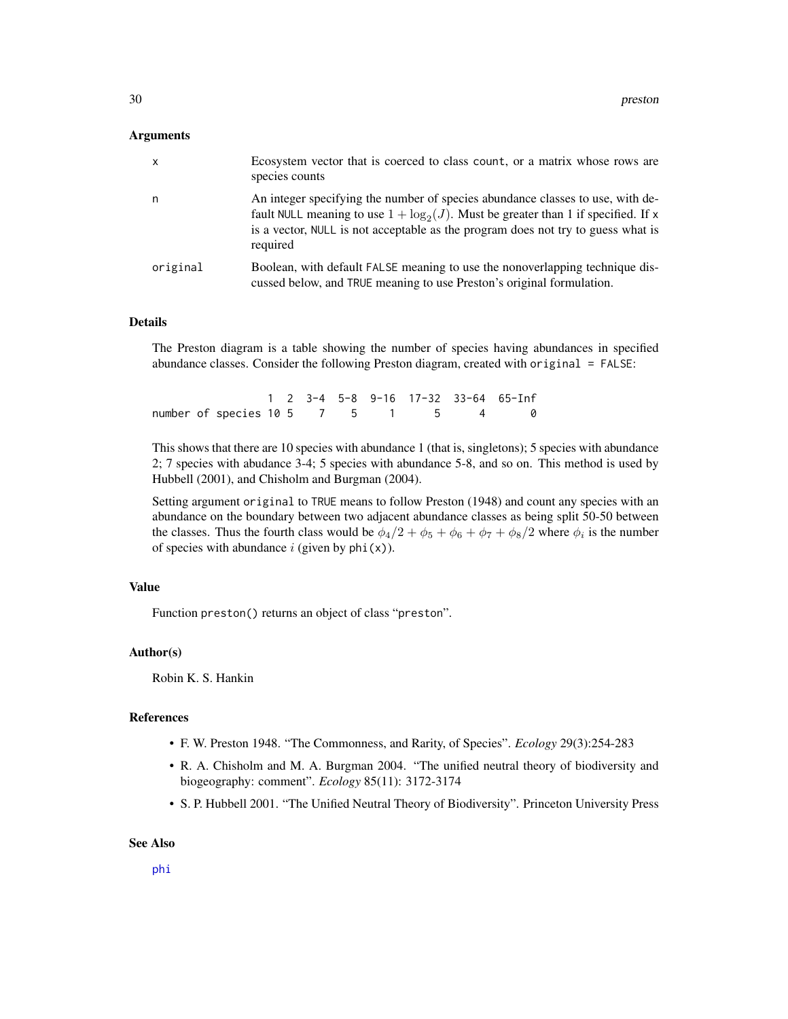#### <span id="page-29-0"></span>Arguments

| $\mathsf{x}$ | Ecosystem vector that is coerced to class count, or a matrix whose rows are<br>species counts                                                                                                                                                                           |
|--------------|-------------------------------------------------------------------------------------------------------------------------------------------------------------------------------------------------------------------------------------------------------------------------|
| n            | An integer specifying the number of species abundance classes to use, with de-<br>fault NULL meaning to use $1 + \log_2(J)$ . Must be greater than 1 if specified. If x<br>is a vector, NULL is not acceptable as the program does not try to guess what is<br>required |
| original     | Boolean, with default FALSE meaning to use the nonoverlapping technique dis-<br>cussed below, and TRUE meaning to use Preston's original formulation.                                                                                                                   |

#### Details

The Preston diagram is a table showing the number of species having abundances in specified abundance classes. Consider the following Preston diagram, created with original = FALSE:

|  |                                    |  |  |  | 1 2 3-4 5-8 9-16 17-32 33-64 65-Inf |
|--|------------------------------------|--|--|--|-------------------------------------|
|  | number of species 10 5 7 5 1 5 4 0 |  |  |  |                                     |

This shows that there are 10 species with abundance 1 (that is, singletons); 5 species with abundance 2; 7 species with abudance 3-4; 5 species with abundance 5-8, and so on. This method is used by Hubbell (2001), and Chisholm and Burgman (2004).

Setting argument original to TRUE means to follow Preston (1948) and count any species with an abundance on the boundary between two adjacent abundance classes as being split 50-50 between the classes. Thus the fourth class would be  $\phi_4/2 + \phi_5 + \phi_6 + \phi_7 + \phi_8/2$  where  $\phi_i$  is the number of species with abundance  $i$  (given by phi(x)).

### Value

Function preston() returns an object of class "preston".

#### Author(s)

Robin K. S. Hankin

### **References**

- F. W. Preston 1948. "The Commonness, and Rarity, of Species". *Ecology* 29(3):254-283
- R. A. Chisholm and M. A. Burgman 2004. "The unified neutral theory of biodiversity and biogeography: comment". *Ecology* 85(11): 3172-3174
- S. P. Hubbell 2001. "The Unified Neutral Theory of Biodiversity". Princeton University Press

### See Also

[phi](#page-26-1)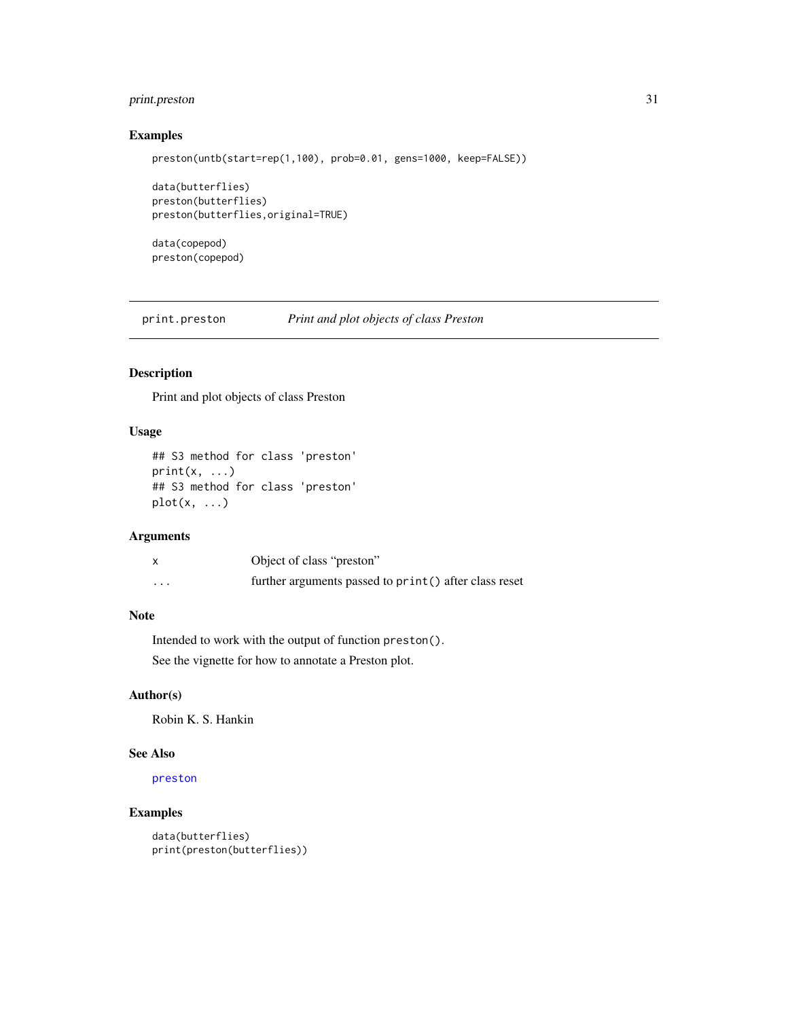### <span id="page-30-0"></span>print.preston 31

### Examples

```
preston(untb(start=rep(1,100), prob=0.01, gens=1000, keep=FALSE))
```

```
data(butterflies)
preston(butterflies)
preston(butterflies,original=TRUE)
```
data(copepod) preston(copepod)

print.preston *Print and plot objects of class Preston*

### Description

Print and plot objects of class Preston

### Usage

```
## S3 method for class 'preston'
print(x, \ldots)## S3 method for class 'preston'
plot(x, \ldots)
```
### Arguments

|          | Object of class "preston"                              |
|----------|--------------------------------------------------------|
| $\cdots$ | further arguments passed to print () after class reset |

### Note

Intended to work with the output of function preston(). See the vignette for how to annotate a Preston plot.

#### Author(s)

Robin K. S. Hankin

### See Also

[preston](#page-28-1)

```
data(butterflies)
print(preston(butterflies))
```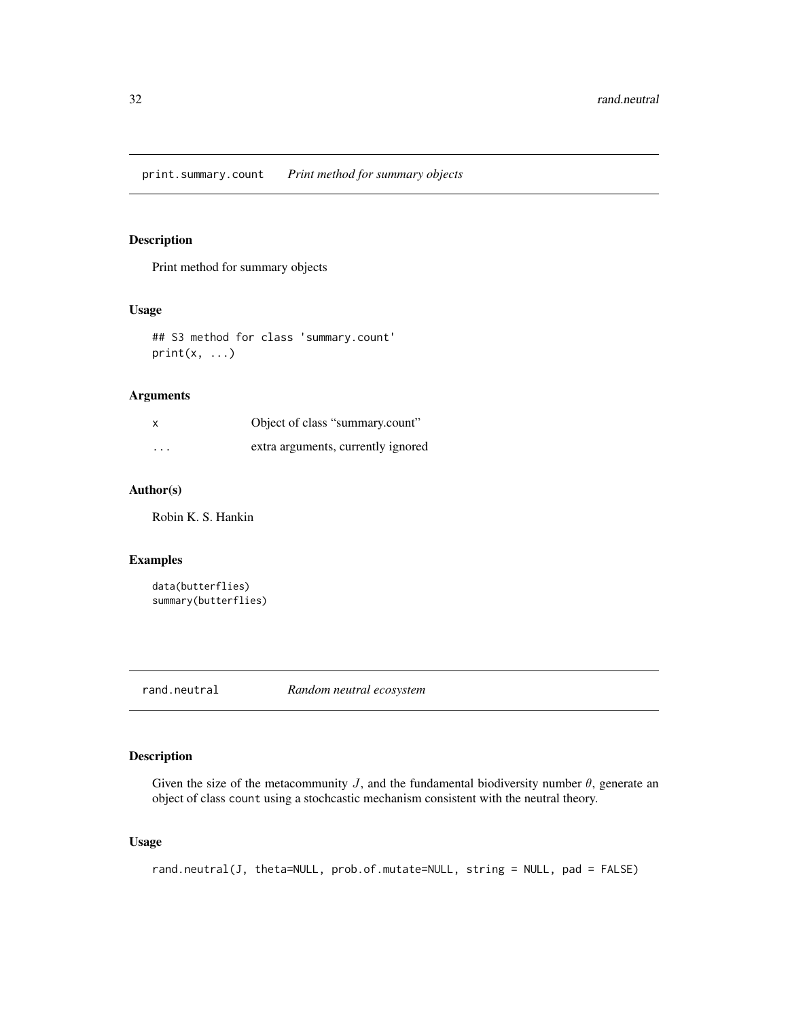<span id="page-31-0"></span>Print method for summary objects

### Usage

```
## S3 method for class 'summary.count'
print(x, \ldots)
```
### Arguments

| x                    | Object of class "summary.count"    |
|----------------------|------------------------------------|
| $\ddot{\phantom{0}}$ | extra arguments, currently ignored |

### Author(s)

Robin K. S. Hankin

### Examples

```
data(butterflies)
summary(butterflies)
```
<span id="page-31-1"></span>rand.neutral *Random neutral ecosystem*

### Description

Given the size of the metacommunity  $J$ , and the fundamental biodiversity number  $\theta$ , generate an object of class count using a stochcastic mechanism consistent with the neutral theory.

### Usage

rand.neutral(J, theta=NULL, prob.of.mutate=NULL, string = NULL, pad = FALSE)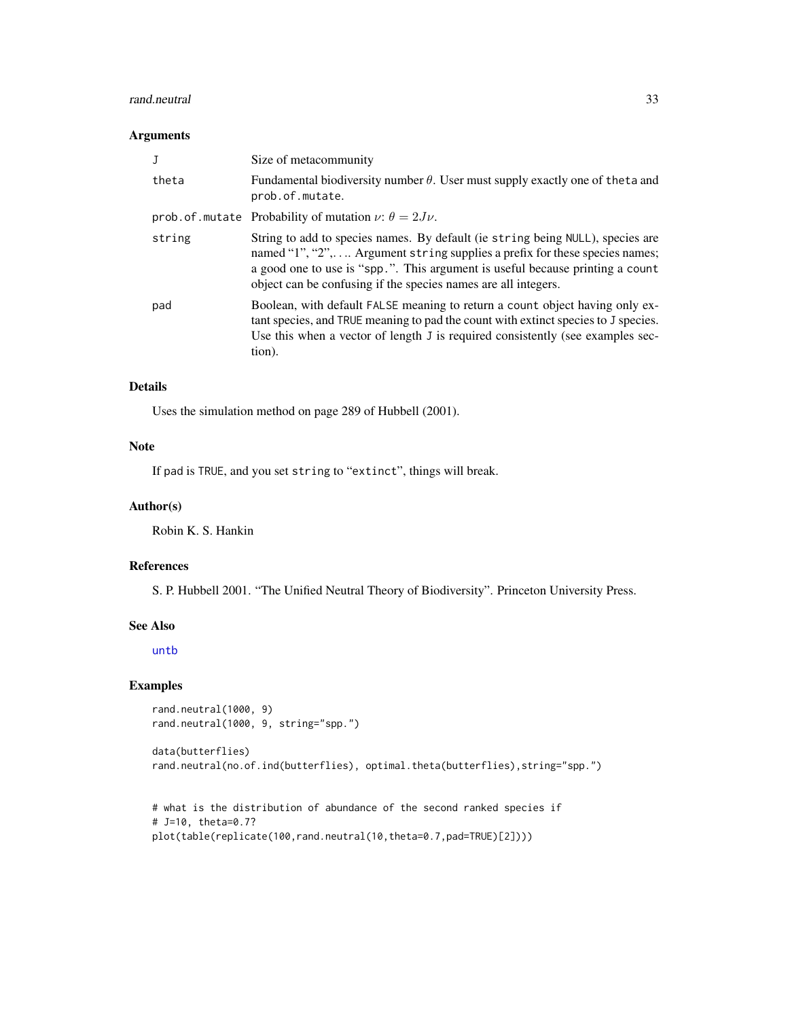#### <span id="page-32-0"></span>rand.neutral 33

#### Arguments

| .T     | Size of metacommunity                                                                                                                                                                                                                                                                                           |
|--------|-----------------------------------------------------------------------------------------------------------------------------------------------------------------------------------------------------------------------------------------------------------------------------------------------------------------|
| theta  | Fundamental biodiversity number $\theta$ . User must supply exactly one of the ta and<br>prob.of.mutate.                                                                                                                                                                                                        |
|        | prob. of . mutate Probability of mutation $\nu$ : $\theta = 2J\nu$ .                                                                                                                                                                                                                                            |
| string | String to add to species names. By default (ie string being NULL), species are<br>named "1", "2", Argument string supplies a prefix for these species names;<br>a good one to use is "spp.". This argument is useful because printing a count<br>object can be confusing if the species names are all integers. |
| pad    | Boolean, with default FALSE meaning to return a count object having only ex-<br>tant species, and TRUE meaning to pad the count with extinct species to J species.<br>Use this when a vector of length J is required consistently (see examples sec-<br>tion).                                                  |

#### Details

Uses the simulation method on page 289 of Hubbell (2001).

### Note

If pad is TRUE, and you set string to "extinct", things will break.

### Author(s)

Robin K. S. Hankin

### References

S. P. Hubbell 2001. "The Unified Neutral Theory of Biodiversity". Princeton University Press.

#### See Also

[untb](#page-40-1)

```
rand.neutral(1000, 9)
rand.neutral(1000, 9, string="spp.")
data(butterflies)
rand.neutral(no.of.ind(butterflies), optimal.theta(butterflies),string="spp.")
```

```
# what is the distribution of abundance of the second ranked species if
# J=10, theta=0.7?
plot(table(replicate(100,rand.neutral(10,theta=0.7,pad=TRUE)[2])))
```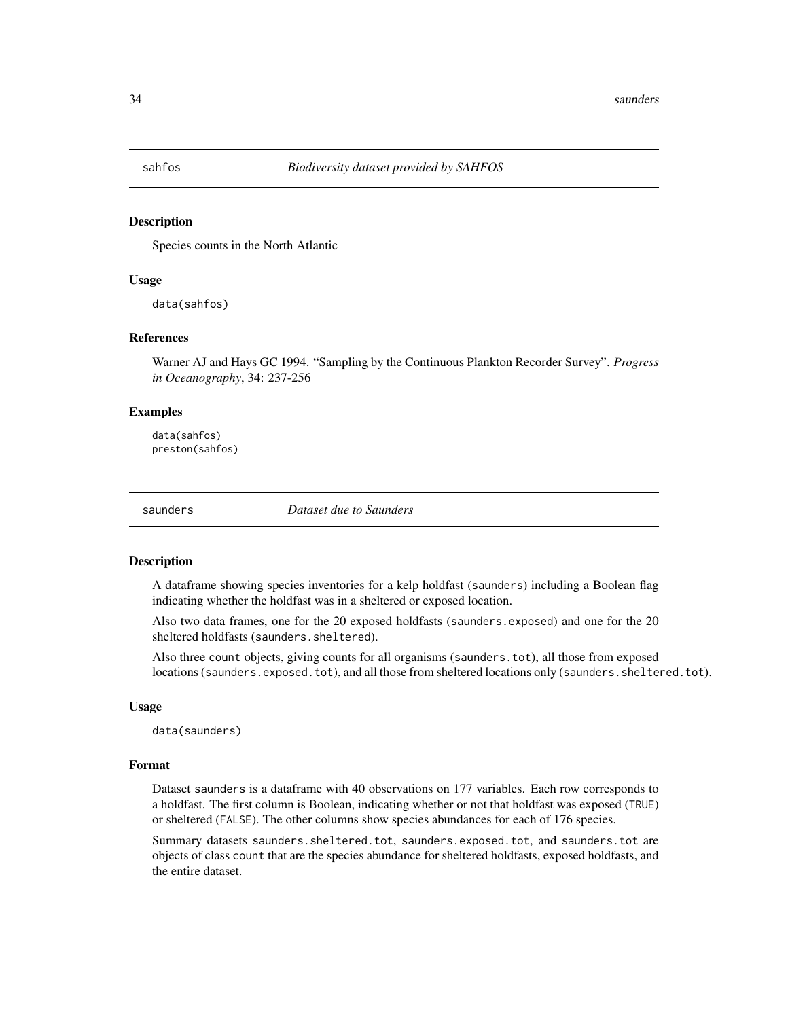<span id="page-33-0"></span>

Species counts in the North Atlantic

### Usage

data(sahfos)

### References

Warner AJ and Hays GC 1994. "Sampling by the Continuous Plankton Recorder Survey". *Progress in Oceanography*, 34: 237-256

### Examples

data(sahfos) preston(sahfos)

saunders *Dataset due to Saunders*

#### Description

A dataframe showing species inventories for a kelp holdfast (saunders) including a Boolean flag indicating whether the holdfast was in a sheltered or exposed location.

Also two data frames, one for the 20 exposed holdfasts (saunders.exposed) and one for the 20 sheltered holdfasts (saunders.sheltered).

Also three count objects, giving counts for all organisms (saunders.tot), all those from exposed locations (saunders.exposed.tot), and all those from sheltered locations only (saunders.sheltered.tot).

#### Usage

data(saunders)

### Format

Dataset saunders is a dataframe with 40 observations on 177 variables. Each row corresponds to a holdfast. The first column is Boolean, indicating whether or not that holdfast was exposed (TRUE) or sheltered (FALSE). The other columns show species abundances for each of 176 species.

Summary datasets saunders.sheltered.tot, saunders.exposed.tot, and saunders.tot are objects of class count that are the species abundance for sheltered holdfasts, exposed holdfasts, and the entire dataset.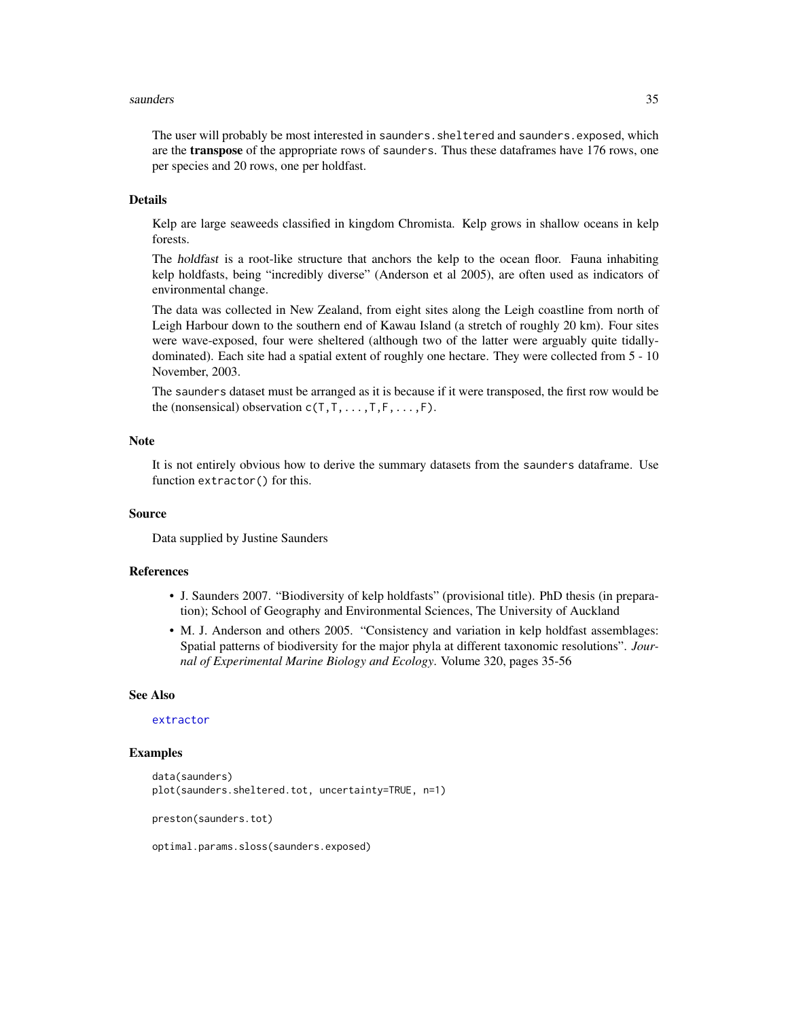#### <span id="page-34-0"></span>saunders 35

The user will probably be most interested in saunders. sheltered and saunders. exposed, which are the **transpose** of the appropriate rows of saunders. Thus these dataframes have 176 rows, one per species and 20 rows, one per holdfast.

### Details

Kelp are large seaweeds classified in kingdom Chromista. Kelp grows in shallow oceans in kelp forests.

The holdfast is a root-like structure that anchors the kelp to the ocean floor. Fauna inhabiting kelp holdfasts, being "incredibly diverse" (Anderson et al 2005), are often used as indicators of environmental change.

The data was collected in New Zealand, from eight sites along the Leigh coastline from north of Leigh Harbour down to the southern end of Kawau Island (a stretch of roughly 20 km). Four sites were wave-exposed, four were sheltered (although two of the latter were arguably quite tidallydominated). Each site had a spatial extent of roughly one hectare. They were collected from 5 - 10 November, 2003.

The saunders dataset must be arranged as it is because if it were transposed, the first row would be the (nonsensical) observation  $c(T, T, \ldots, T, F, \ldots, F)$ .

#### Note

It is not entirely obvious how to derive the summary datasets from the saunders dataframe. Use function extractor() for this.

#### Source

Data supplied by Justine Saunders

### References

- J. Saunders 2007. "Biodiversity of kelp holdfasts" (provisional title). PhD thesis (in preparation); School of Geography and Environmental Sciences, The University of Auckland
- M. J. Anderson and others 2005. "Consistency and variation in kelp holdfast assemblages: Spatial patterns of biodiversity for the major phyla at different taxonomic resolutions". *Journal of Experimental Marine Biology and Ecology*. Volume 320, pages 35-56

#### See Also

#### [extractor](#page-14-1)

#### Examples

```
data(saunders)
plot(saunders.sheltered.tot, uncertainty=TRUE, n=1)
preston(saunders.tot)
```
optimal.params.sloss(saunders.exposed)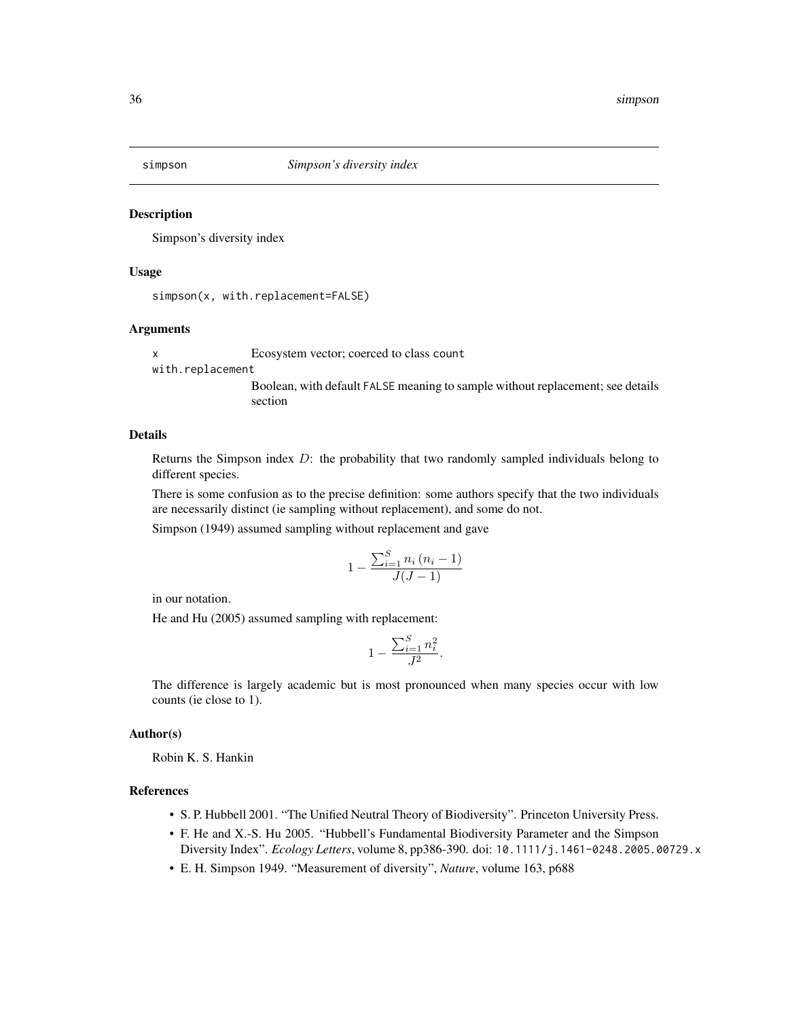<span id="page-35-0"></span>

Simpson's diversity index

#### Usage

simpson(x, with.replacement=FALSE)

### Arguments

x Ecosystem vector; coerced to class count with.replacement Boolean, with default FALSE meaning to sample without replacement; see details section

#### Details

Returns the Simpson index  $D$ : the probability that two randomly sampled individuals belong to different species.

There is some confusion as to the precise definition: some authors specify that the two individuals are necessarily distinct (ie sampling without replacement), and some do not.

Simpson (1949) assumed sampling without replacement and gave

$$
1 - \frac{\sum_{i=1}^{S} n_i (n_i - 1)}{J(J-1)}
$$

in our notation.

He and Hu (2005) assumed sampling with replacement:

$$
1 - \frac{\sum_{i=1}^{S} n_i^2}{J^2}.
$$

The difference is largely academic but is most pronounced when many species occur with low counts (ie close to 1).

#### Author(s)

Robin K. S. Hankin

### References

- S. P. Hubbell 2001. "The Unified Neutral Theory of Biodiversity". Princeton University Press.
- F. He and X.-S. Hu 2005. "Hubbell's Fundamental Biodiversity Parameter and the Simpson Diversity Index". *Ecology Letters*, volume 8, pp386-390. doi: 10.1111/j.1461-0248.2005.00729.x
- E. H. Simpson 1949. "Measurement of diversity", *Nature*, volume 163, p688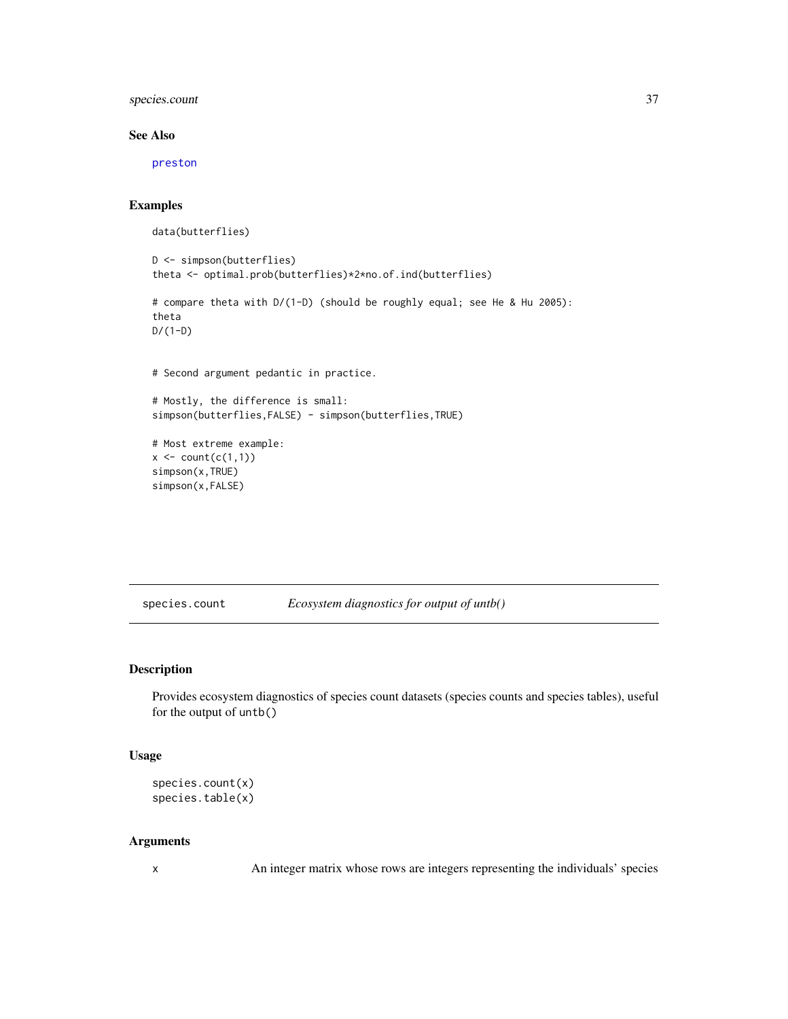<span id="page-36-0"></span>species.count 37

### See Also

[preston](#page-28-1)

### Examples

data(butterflies)

```
D <- simpson(butterflies)
theta <- optimal.prob(butterflies)*2*no.of.ind(butterflies)
# compare theta with D/(1-D) (should be roughly equal; see He & Hu 2005):
theta
D/(1-D)
# Second argument pedantic in practice.
# Mostly, the difference is small:
simpson(butterflies,FALSE) - simpson(butterflies,TRUE)
# Most extreme example:
x \leftarrow \text{count}(c(1,1))simpson(x,TRUE)
simpson(x,FALSE)
```
species.count *Ecosystem diagnostics for output of untb()*

#### Description

Provides ecosystem diagnostics of species count datasets (species counts and species tables), useful for the output of untb()

#### Usage

```
species.count(x)
species.table(x)
```
#### Arguments

x An integer matrix whose rows are integers representing the individuals' species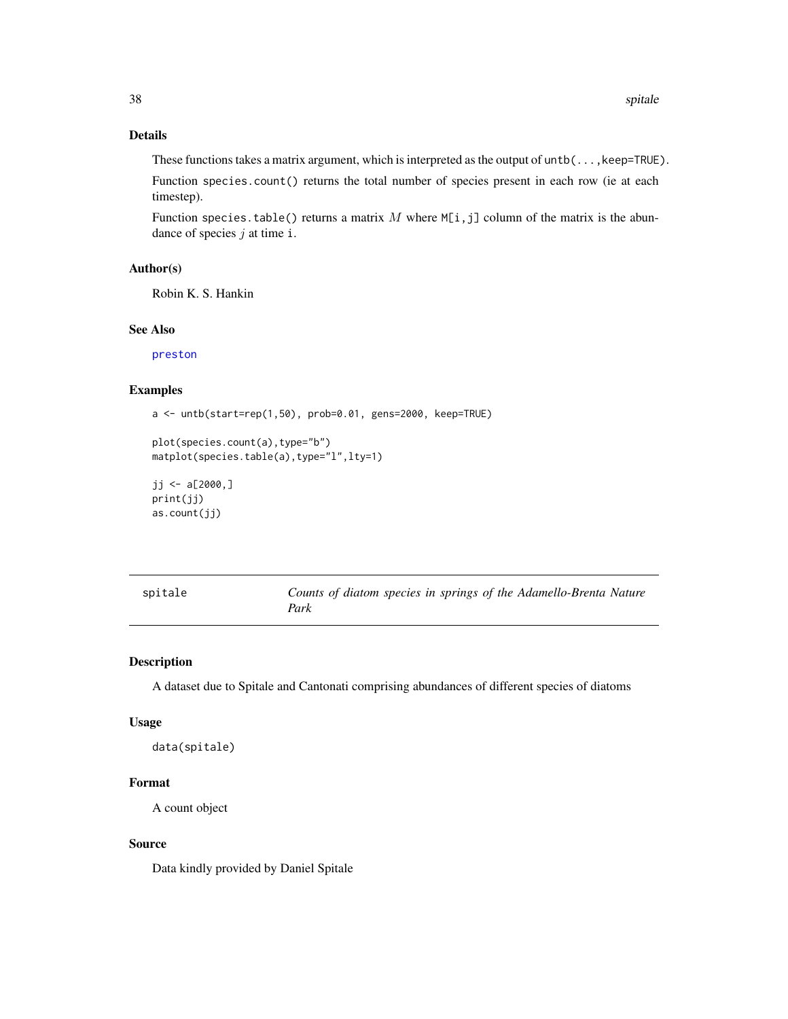### <span id="page-37-0"></span>Details

These functions takes a matrix argument, which is interpreted as the output of  $until, k$ eep=TRUE).

Function species.count() returns the total number of species present in each row (ie at each timestep).

Function species.table() returns a matrix M where  $M[i, j]$  column of the matrix is the abundance of species  $j$  at time i.

### Author(s)

Robin K. S. Hankin

#### See Also

[preston](#page-28-1)

### Examples

a <- untb(start=rep(1,50), prob=0.01, gens=2000, keep=TRUE)

```
plot(species.count(a),type="b")
matplot(species.table(a),type="l",lty=1)
```

```
jj <- a[2000,]print(jj)
as.count(jj)
```

| spitale |      |  | Counts of diatom species in springs of the Adamello-Brenta Nature |  |
|---------|------|--|-------------------------------------------------------------------|--|
|         | Park |  |                                                                   |  |

### Description

A dataset due to Spitale and Cantonati comprising abundances of different species of diatoms

#### Usage

```
data(spitale)
```
### Format

A count object

#### Source

Data kindly provided by Daniel Spitale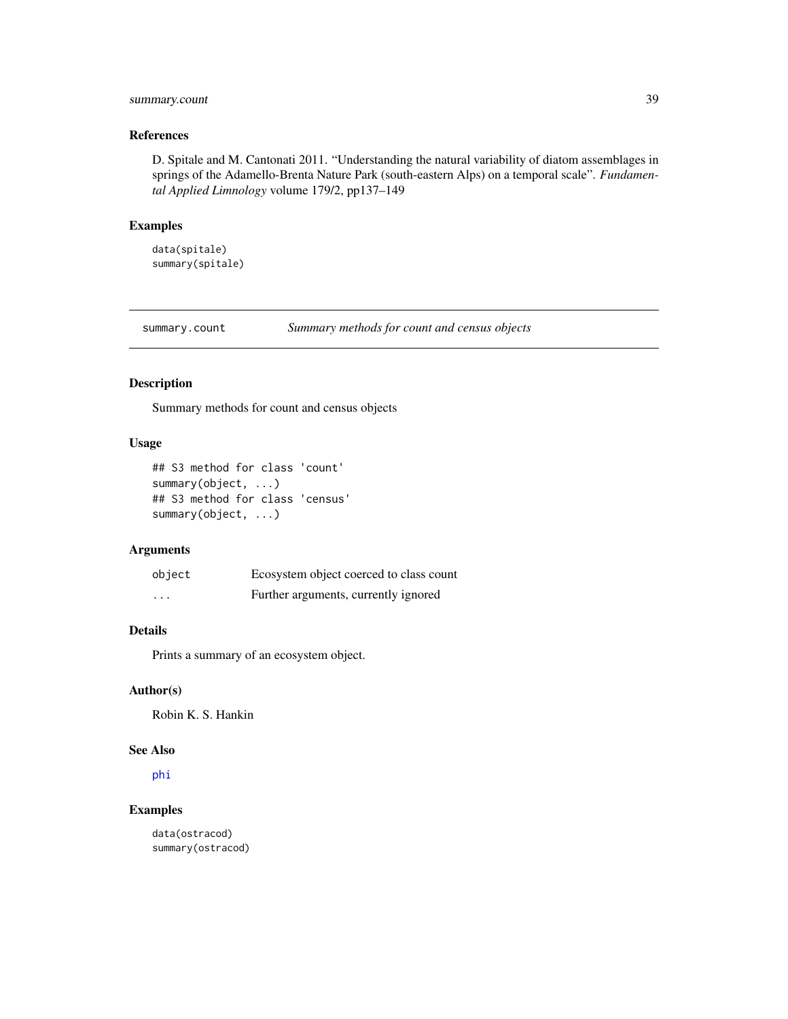### <span id="page-38-0"></span>summary.count 39

### References

D. Spitale and M. Cantonati 2011. "Understanding the natural variability of diatom assemblages in springs of the Adamello-Brenta Nature Park (south-eastern Alps) on a temporal scale". *Fundamental Applied Limnology* volume 179/2, pp137–149

### Examples

data(spitale) summary(spitale)

summary.count *Summary methods for count and census objects*

#### Description

Summary methods for count and census objects

#### Usage

```
## S3 method for class 'count'
summary(object, ...)
## S3 method for class 'census'
summary(object, ...)
```
### Arguments

| object                  | Ecosystem object coerced to class count |
|-------------------------|-----------------------------------------|
| $\cdot$ $\cdot$ $\cdot$ | Further arguments, currently ignored    |

### Details

Prints a summary of an ecosystem object.

### Author(s)

Robin K. S. Hankin

### See Also

[phi](#page-26-1)

### Examples

data(ostracod) summary(ostracod)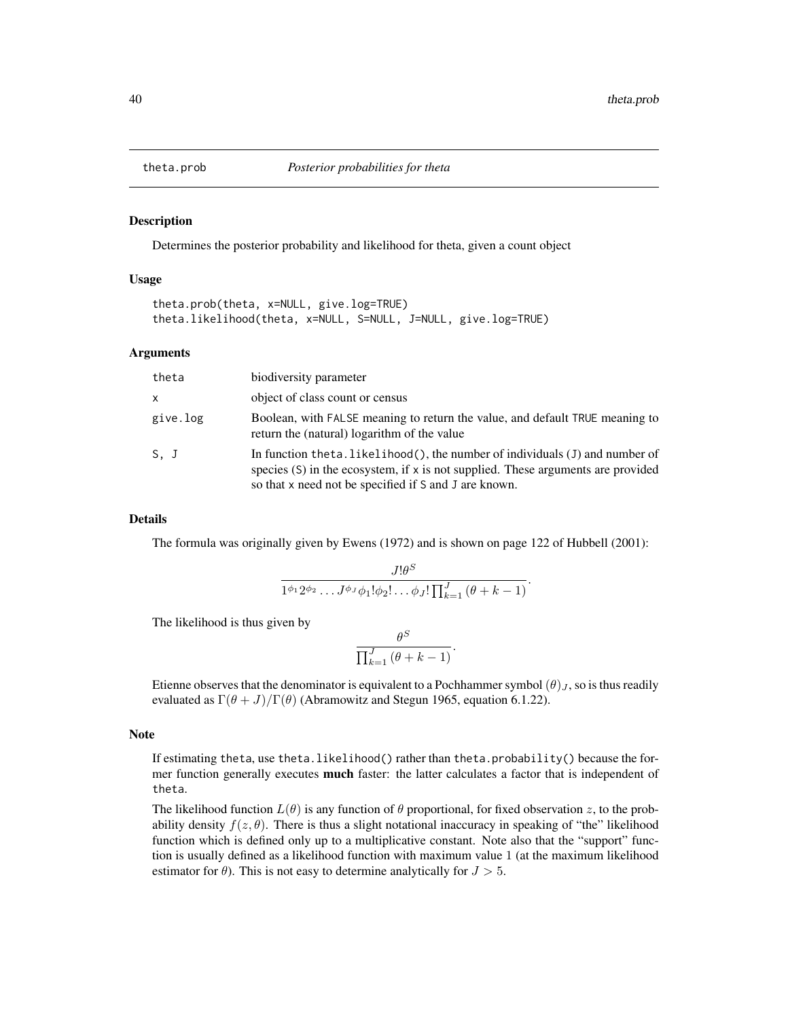<span id="page-39-0"></span>

Determines the posterior probability and likelihood for theta, given a count object

#### Usage

```
theta.prob(theta, x=NULL, give.log=TRUE)
theta.likelihood(theta, x=NULL, S=NULL, J=NULL, give.log=TRUE)
```
#### Arguments

| theta        | biodiversity parameter                                                                                                                                                                                                         |
|--------------|--------------------------------------------------------------------------------------------------------------------------------------------------------------------------------------------------------------------------------|
| $\mathsf{x}$ | object of class count or census                                                                                                                                                                                                |
| give.log     | Boolean, with FALSE meaning to return the value, and default TRUE meaning to<br>return the (natural) logarithm of the value                                                                                                    |
| S. J         | In function the ta. likelihood(), the number of individuals $(J)$ and number of<br>species $(S)$ in the ecosystem, if x is not supplied. These arguments are provided<br>so that x need not be specified if S and J are known. |

#### Details

The formula was originally given by Ewens (1972) and is shown on page 122 of Hubbell (2001):

$$
\frac{J!\theta^S}{1^{\phi_1}2^{\phi_2}\dots J^{\phi_J}\phi_1!\phi_2!\dots\phi_J!\prod_{k=1}^J\left(\theta+k-1\right)}.
$$

The likelihood is thus given by

$$
\frac{\theta^S}{\prod_{k=1}^J\left(\theta+k-1\right)}.
$$

Etienne observes that the denominator is equivalent to a Pochhammer symbol  $(\theta)_J$ , so is thus readily evaluated as  $\Gamma(\theta + J)/\Gamma(\theta)$  (Abramowitz and Stegun 1965, equation 6.1.22).

#### **Note**

If estimating theta, use theta.likelihood() rather than theta.probability() because the former function generally executes **much** faster: the latter calculates a factor that is independent of theta.

The likelihood function  $L(\theta)$  is any function of  $\theta$  proportional, for fixed observation z, to the probability density  $f(z, \theta)$ . There is thus a slight notational inaccuracy in speaking of "the" likelihood function which is defined only up to a multiplicative constant. Note also that the "support" function is usually defined as a likelihood function with maximum value 1 (at the maximum likelihood estimator for  $\theta$ ). This is not easy to determine analytically for  $J > 5$ .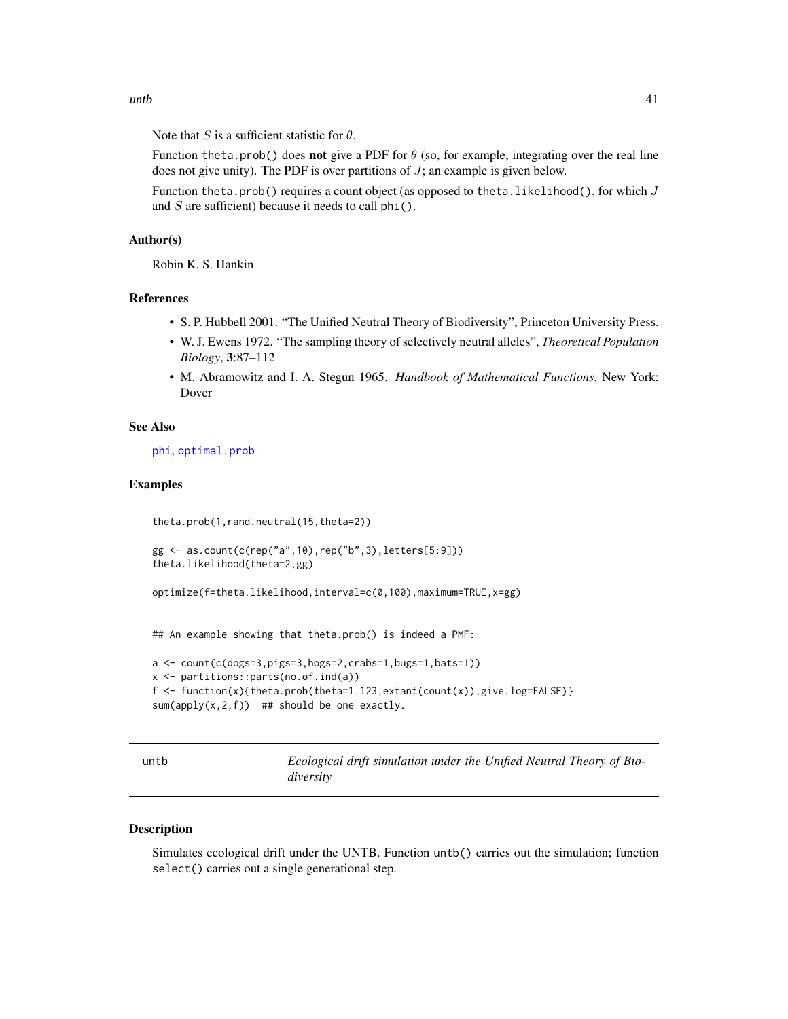<span id="page-40-0"></span>Note that S is a sufficient statistic for  $\theta$ .

Function theta.prob() does not give a PDF for  $\theta$  (so, for example, integrating over the real line does not give unity). The PDF is over partitions of  $J$ ; an example is given below.

Function theta.prob() requires a count object (as opposed to theta.likelihood(), for which  $J$ and  $S$  are sufficient) because it needs to call phi().

### Author(s)

Robin K. S. Hankin

### References

- S. P. Hubbell 2001. "The Unified Neutral Theory of Biodiversity", Princeton University Press.
- W. J. Ewens 1972. "The sampling theory of selectively neutral alleles", *Theoretical Population Biology*, 3:87–112
- M. Abramowitz and I. A. Stegun 1965. *Handbook of Mathematical Functions*, New York: Dover

### See Also

[phi](#page-26-1), [optimal.prob](#page-25-2)

#### Examples

```
theta.prob(1,rand.neutral(15,theta=2))
```

```
gg <- as.count(c(rep("a",10),rep("b",3),letters[5:9]))
theta.likelihood(theta=2,gg)
```
optimize(f=theta.likelihood,interval=c(0,100),maximum=TRUE,x=gg)

## An example showing that theta.prob() is indeed a PMF:

```
a <- count(c(dogs=3,pigs=3,hogs=2,crabs=1,bugs=1,bats=1))
x <- partitions::parts(no.of.ind(a))
f \leftarrow function(x) {\text{theta}, prob(the} \text{theta}=1.123, extant(count(x)), give.log=FALSE)}sum(\text{apply}(x,2,f)) ## should be one exactly.
```
<span id="page-40-1"></span>

untb *Ecological drift simulation under the Unified Neutral Theory of Biodiversity*

### Description

Simulates ecological drift under the UNTB. Function untb() carries out the simulation; function select() carries out a single generational step.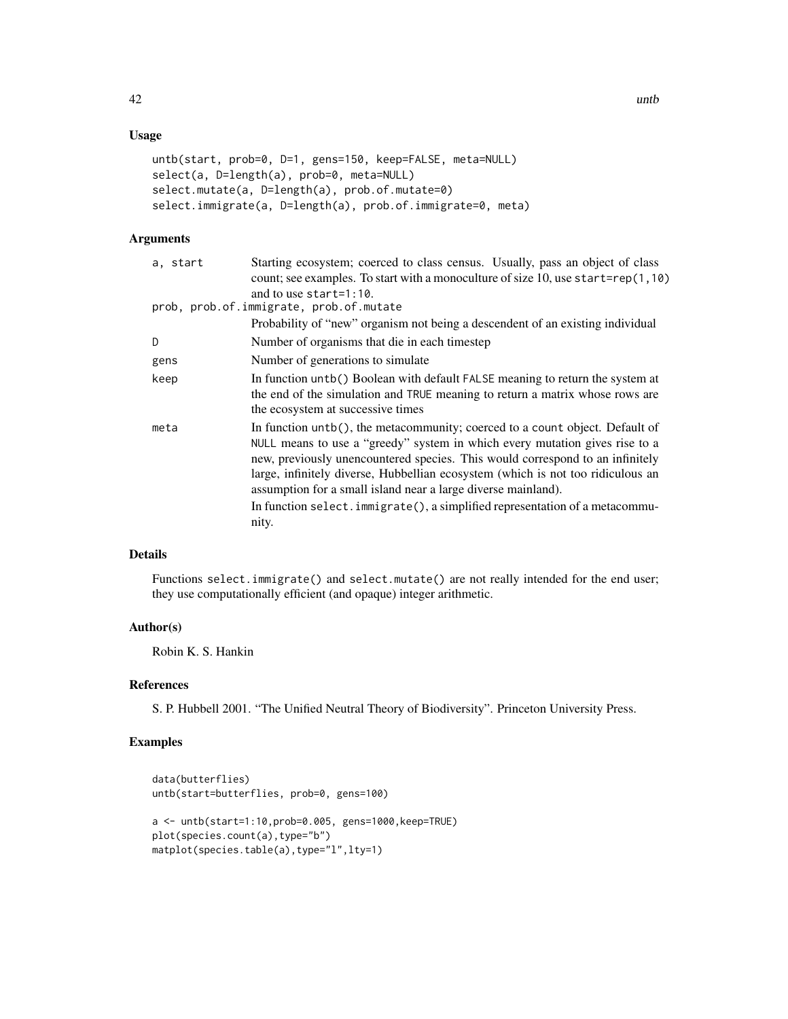### Usage

```
untb(start, prob=0, D=1, gens=150, keep=FALSE, meta=NULL)
select(a, D=length(a), prob=0, meta=NULL)
select.mutate(a, D=length(a), prob.of.mutate=0)
select.immigrate(a, D=length(a), prob.of.immigrate=0, meta)
```
### Arguments

| Starting ecosystem; coerced to class census. Usually, pass an object of class                                                                                                                                                                                                                                                                                                                                                                                                             |
|-------------------------------------------------------------------------------------------------------------------------------------------------------------------------------------------------------------------------------------------------------------------------------------------------------------------------------------------------------------------------------------------------------------------------------------------------------------------------------------------|
| count; see examples. To start with a monoculture of size 10, use start=rep(1,10)                                                                                                                                                                                                                                                                                                                                                                                                          |
| and to use start= $1:10$ .                                                                                                                                                                                                                                                                                                                                                                                                                                                                |
| prob, prob.of.immigrate, prob.of.mutate                                                                                                                                                                                                                                                                                                                                                                                                                                                   |
| Probability of "new" organism not being a descendent of an existing individual                                                                                                                                                                                                                                                                                                                                                                                                            |
| Number of organisms that die in each timestep                                                                                                                                                                                                                                                                                                                                                                                                                                             |
| Number of generations to simulate                                                                                                                                                                                                                                                                                                                                                                                                                                                         |
| In function untb() Boolean with default FALSE meaning to return the system at<br>the end of the simulation and TRUE meaning to return a matrix whose rows are<br>the ecosystem at successive times                                                                                                                                                                                                                                                                                        |
| In function untb(), the metacommunity; coerced to a count object. Default of<br>NULL means to use a "greedy" system in which every mutation gives rise to a<br>new, previously unencountered species. This would correspond to an infinitely<br>large, infinitely diverse, Hubbellian ecosystem (which is not too ridiculous an<br>assumption for a small island near a large diverse mainland).<br>In function select. immigrate(), a simplified representation of a metacommu-<br>nity. |
|                                                                                                                                                                                                                                                                                                                                                                                                                                                                                           |

### Details

Functions select.immigrate() and select.mutate() are not really intended for the end user; they use computationally efficient (and opaque) integer arithmetic.

#### Author(s)

Robin K. S. Hankin

### References

S. P. Hubbell 2001. "The Unified Neutral Theory of Biodiversity". Princeton University Press.

```
data(butterflies)
untb(start=butterflies, prob=0, gens=100)
a <- untb(start=1:10,prob=0.005, gens=1000,keep=TRUE)
plot(species.count(a),type="b")
matplot(species.table(a),type="l",lty=1)
```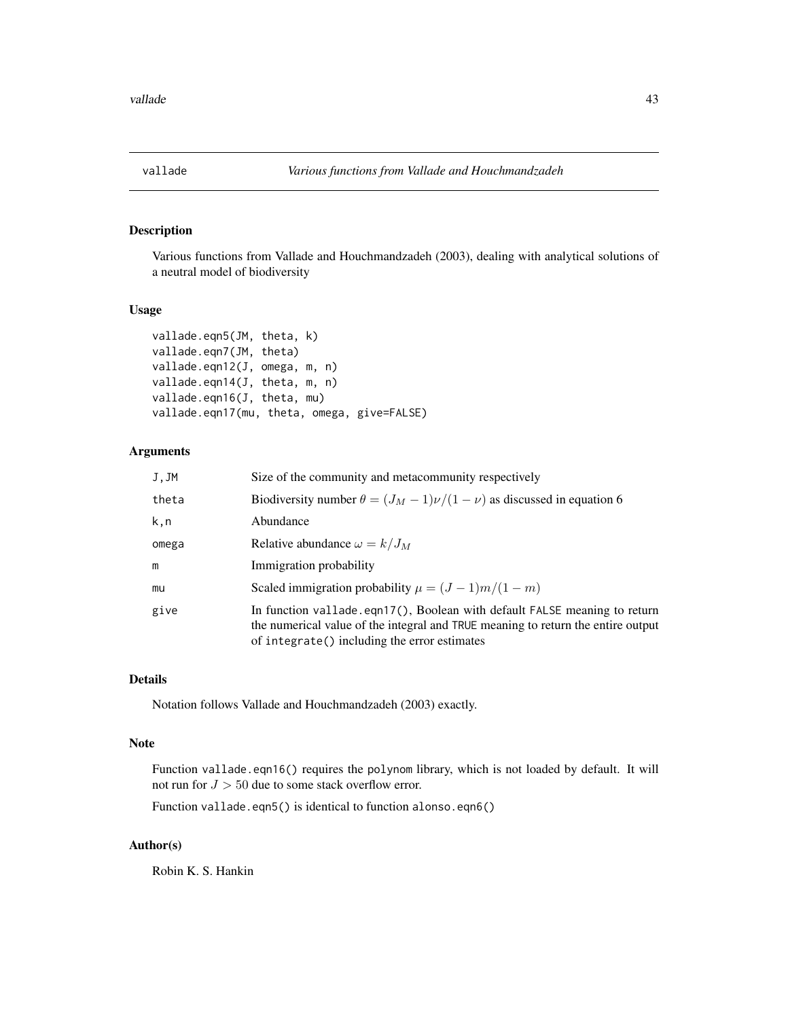<span id="page-42-0"></span>

Various functions from Vallade and Houchmandzadeh (2003), dealing with analytical solutions of a neutral model of biodiversity

### Usage

```
vallade.eqn5(JM, theta, k)
vallade.eqn7(JM, theta)
vallade.eqn12(J, omega, m, n)
vallade.eqn14(J, theta, m, n)
vallade.eqn16(J, theta, mu)
vallade.eqn17(mu, theta, omega, give=FALSE)
```
### Arguments

| J, JM | Size of the community and metacommunity respectively                                                                                                                                                          |
|-------|---------------------------------------------------------------------------------------------------------------------------------------------------------------------------------------------------------------|
| theta | Biodiversity number $\theta = (J_M - 1)\nu/(1 - \nu)$ as discussed in equation 6                                                                                                                              |
| k,n   | Abundance                                                                                                                                                                                                     |
| omega | Relative abundance $\omega = k/J_M$                                                                                                                                                                           |
| m     | Immigration probability                                                                                                                                                                                       |
| mu    | Scaled immigration probability $\mu = (J - 1)m/(1 - m)$                                                                                                                                                       |
| give  | In function vallade.eqn17(), Boolean with default FALSE meaning to return<br>the numerical value of the integral and TRUE meaning to return the entire output<br>of integrate() including the error estimates |

#### Details

Notation follows Vallade and Houchmandzadeh (2003) exactly.

#### Note

Function vallade.eqn16() requires the polynom library, which is not loaded by default. It will not run for  $J > 50$  due to some stack overflow error.

Function vallade.eqn5() is identical to function alonso.eqn6()

### Author(s)

Robin K. S. Hankin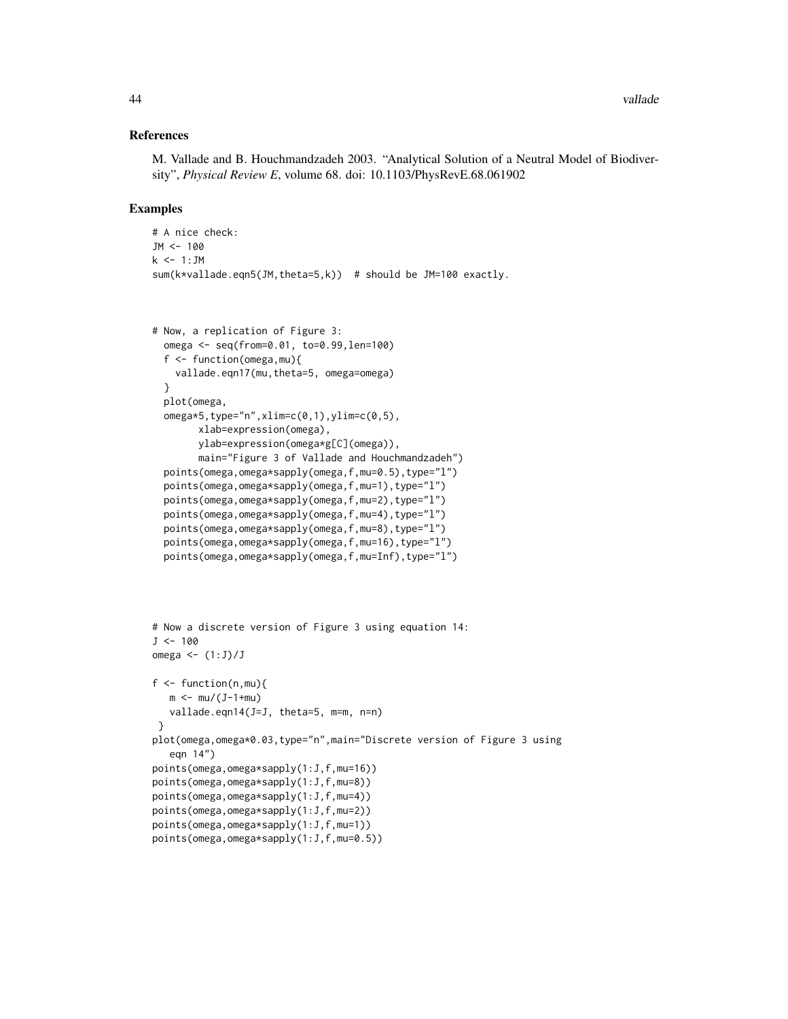#### References

M. Vallade and B. Houchmandzadeh 2003. "Analytical Solution of a Neutral Model of Biodiversity", *Physical Review E*, volume 68. doi: 10.1103/PhysRevE.68.061902

```
# A nice check:
JM <- 100
k \le -1:JMsum(k*vallade.eqn5(JM,theta=5,k)) # should be JM=100 exactly.
```

```
# Now, a replication of Figure 3:
 omega <- seq(from=0.01, to=0.99,len=100)
 f <- function(omega,mu){
   vallade.eqn17(mu,theta=5, omega=omega)
 }
 plot(omega,
 omega*5,type="n",xlim=c(0,1),ylim=c(0,5),
       xlab=expression(omega),
       ylab=expression(omega*g[C](omega)),
       main="Figure 3 of Vallade and Houchmandzadeh")
 points(omega,omega*sapply(omega,f,mu=0.5),type="l")
 points(omega,omega*sapply(omega,f,mu=1),type="l")
 points(omega,omega*sapply(omega,f,mu=2),type="l")
 points(omega,omega*sapply(omega,f,mu=4),type="l")
 points(omega,omega*sapply(omega,f,mu=8),type="l")
 points(omega,omega*sapply(omega,f,mu=16),type="l")
 points(omega,omega*sapply(omega,f,mu=Inf),type="l")
```

```
# Now a discrete version of Figure 3 using equation 14:
J < -100omega \leftarrow (1:J)/Jf \leftarrow function(n, mu)m < - mu/(J-1+mu)vallade.eqn14(J=J, theta=5, m=m, n=n)
 }
plot(omega,omega*0.03,type="n",main="Discrete version of Figure 3 using
   eqn 14")
points(omega,omega*sapply(1:J,f,mu=16))
points(omega,omega*sapply(1:J,f,mu=8))
points(omega,omega*sapply(1:J,f,mu=4))
points(omega,omega*sapply(1:J,f,mu=2))
points(omega,omega*sapply(1:J,f,mu=1))
points(omega,omega*sapply(1:J,f,mu=0.5))
```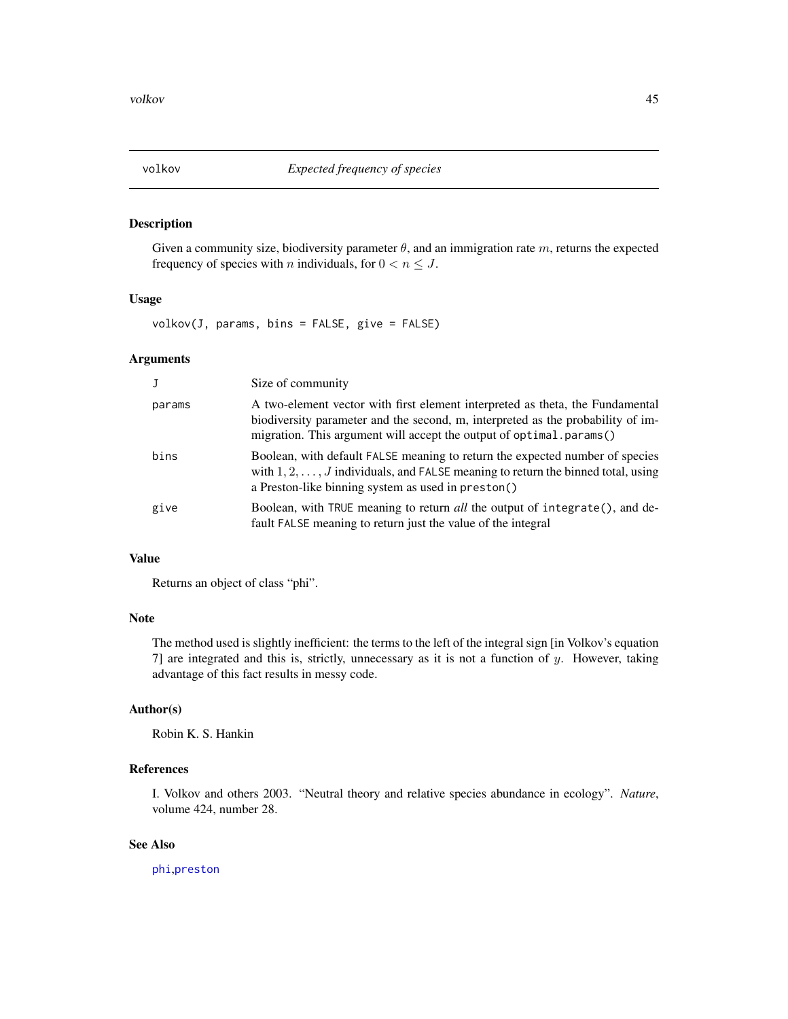<span id="page-44-0"></span>

Given a community size, biodiversity parameter  $\theta$ , and an immigration rate m, returns the expected frequency of species with *n* individuals, for  $0 < n \leq J$ .

#### Usage

volkov(J, params, bins = FALSE, give = FALSE)

#### Arguments

|        | Size of community                                                                                                                                                                                                                       |
|--------|-----------------------------------------------------------------------------------------------------------------------------------------------------------------------------------------------------------------------------------------|
| params | A two-element vector with first element interpreted as theta, the Fundamental<br>biodiversity parameter and the second, m, interpreted as the probability of im-<br>migration. This argument will accept the output of optimal params() |
| bins   | Boolean, with default FALSE meaning to return the expected number of species<br>with $1, 2, \ldots, J$ individuals, and FALSE meaning to return the binned total, using<br>a Preston-like binning system as used in preston()           |
| give   | Boolean, with TRUE meaning to return all the output of integrate(), and de-<br>fault FALSE meaning to return just the value of the integral                                                                                             |

### Value

Returns an object of class "phi".

### Note

The method used is slightly inefficient: the terms to the left of the integral sign [in Volkov's equation 7] are integrated and this is, strictly, unnecessary as it is not a function of  $y$ . However, taking advantage of this fact results in messy code.

### Author(s)

Robin K. S. Hankin

### References

I. Volkov and others 2003. "Neutral theory and relative species abundance in ecology". *Nature*, volume 424, number 28.

#### See Also

[phi](#page-26-1),[preston](#page-28-1)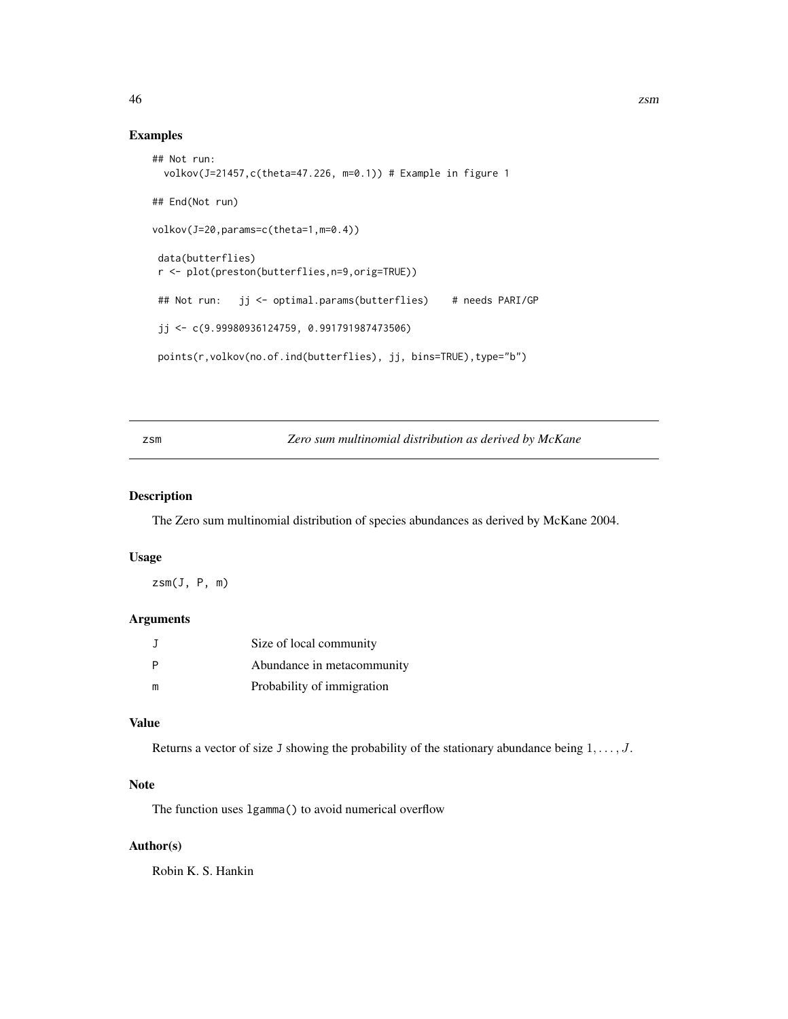#### Examples

```
## Not run:
 volkov(J=21457,c(theta=47.226, m=0.1)) # Example in figure 1
## End(Not run)
volkov(J=20,params=c(theta=1,m=0.4))
data(butterflies)
r <- plot(preston(butterflies,n=9,orig=TRUE))
## Not run: jj <- optimal.params(butterflies) # needs PARI/GP
jj <- c(9.99980936124759, 0.991791987473506)
points(r,volkov(no.of.ind(butterflies), jj, bins=TRUE),type="b")
```
### zsm *Zero sum multinomial distribution as derived by McKane*

### Description

The Zero sum multinomial distribution of species abundances as derived by McKane 2004.

#### Usage

 $z\text{sm}(J, P, m)$ 

### Arguments

| $\Box$ | Size of local community    |
|--------|----------------------------|
| P      | Abundance in metacommunity |
| m      | Probability of immigration |

#### Value

Returns a vector of size J showing the probability of the stationary abundance being  $1, \ldots, J$ .

### Note

The function uses lgamma() to avoid numerical overflow

### Author(s)

Robin K. S. Hankin

<span id="page-45-0"></span>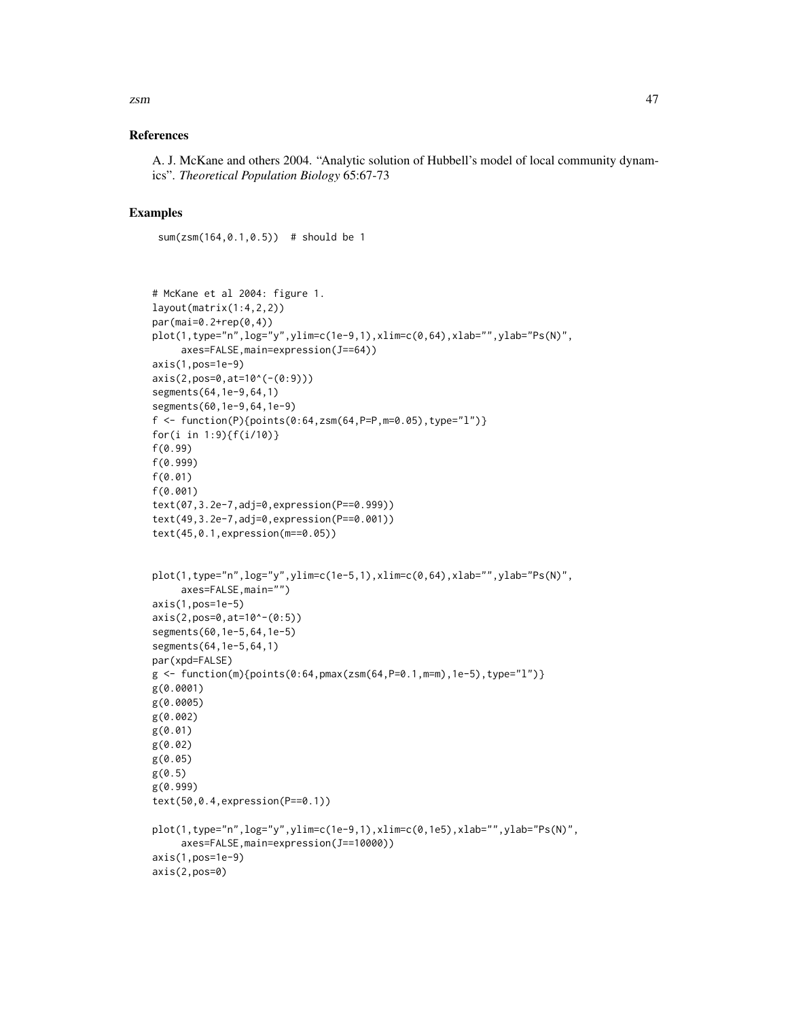#### References

A. J. McKane and others 2004. "Analytic solution of Hubbell's model of local community dynamics". *Theoretical Population Biology* 65:67-73

### Examples

sum(zsm(164,0.1,0.5)) # should be 1

```
# McKane et al 2004: figure 1.
layout(matrix(1:4,2,2))
par(mai=0.2+rep(0,4))
plot(1, type="n", log="y", ylim = c(1e-9, 1), xlim = c(0, 64), xlabel"", ylabel"PS(N)",axes=FALSE,main=expression(J==64))
axis(1,pos=1e-9)
axis(2,pos=0,at=10^(-(0:9)))
segments(64,1e-9,64,1)
segments(60,1e-9,64,1e-9)
f <- function(P){points(0:64,zsm(64,P=P,m=0.05),type="l")}
for(i in 1:9){f(i/10)}
f(0.99)
f(0.999)
f(0.01)
f(0.001)
text(07,3.2e-7,adj=0,expression(P==0.999))
text(49,3.2e-7,adj=0,expression(P==0.001))
text(45,0.1,expression(m==0.05))
plot(1,type="n",log="y",ylim=c(1e-5,1),xlim=c(0,64),xlab="",ylab="Ps(N)",
     axes=FALSE,main="")
axis(1,pos=1e-5)
axis(2,pos=0,at=10^-(0:5))
segments(60,1e-5,64,1e-5)
segments(64,1e-5,64,1)
par(xpd=FALSE)
g \leftarrow function(m){points(0:64,pmax(zsm(64,P=0.1,m=m),1e-5),type="l")}
g(0.0001)
g(0.0005)
g(0.002)
g(0.01)
g(0.02)
g(0.05)
g(0.5)
g(0.999)
text(50,0.4,expression(P==0.1))
plot(1,type="n",log="y",ylim=c(1e-9,1),xlim=c(0,1e5),xlab="",ylab="Ps(N)",
     axes=FALSE,main=expression(J==10000))
axis(1,pos=1e-9)
axis(2,pos=0)
```
zsm and the contract of the contract of the contract of the contract of the contract of the contract of the contract of the contract of the contract of the contract of the contract of the contract of the contract of the co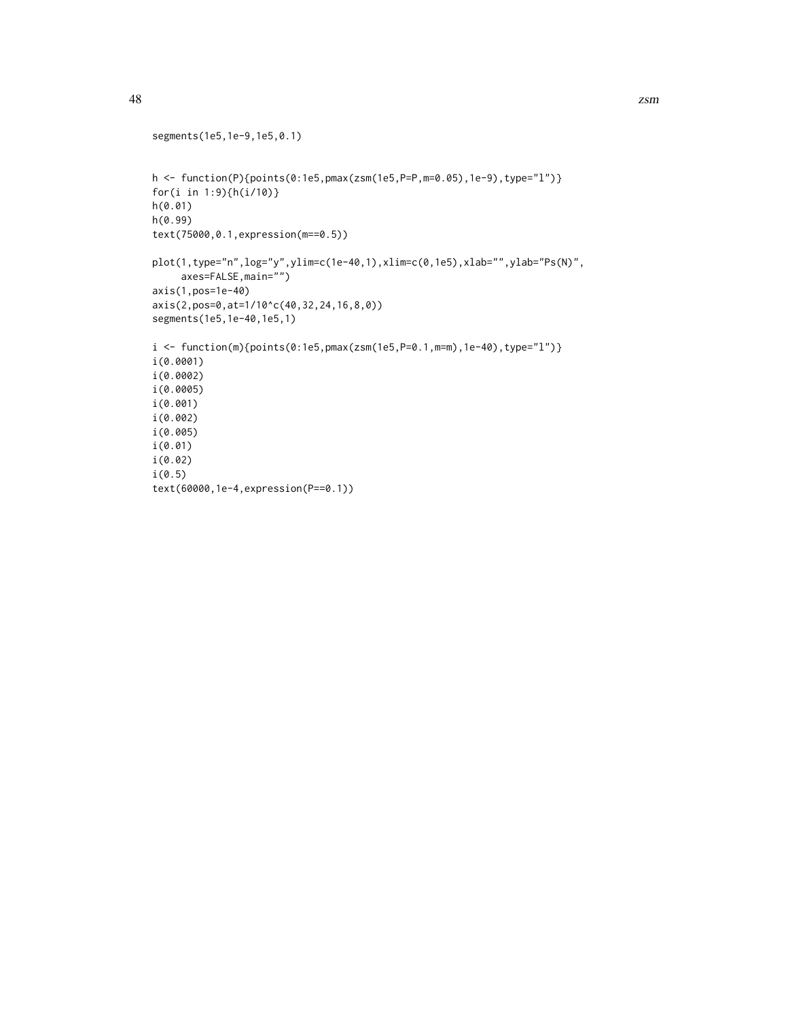```
segments(1e5,1e-9,1e5,0.1)
h <- function(P){points(0:1e5,pmax(zsm(1e5,P=P,m=0.05),1e-9),type="l")}
for(i in 1:9){h(i/10)}
h(0.01)
h(0.99)
text(75000,0.1,expression(m==0.5))
plot(1,type="n",log="y",ylim=c(1e-40,1),xlim=c(0,1e5),xlab="",ylab="Ps(N)",
     axes=FALSE,main="")
axis(1,pos=1e-40)
axis(2,pos=0,at=1/10^c(40,32,24,16,8,0))
segments(1e5,1e-40,1e5,1)
i <- function(m){points(0:1e5,pmax(zsm(1e5,P=0.1,m=m),1e-40),type="l")}
i(0.0001)
i(0.0002)
i(0.0005)
i(0.001)
i(0.002)
i(0.005)
i(0.01)
i(0.02)
i(0.5)
text(60000,1e-4,expression(P==0.1))
```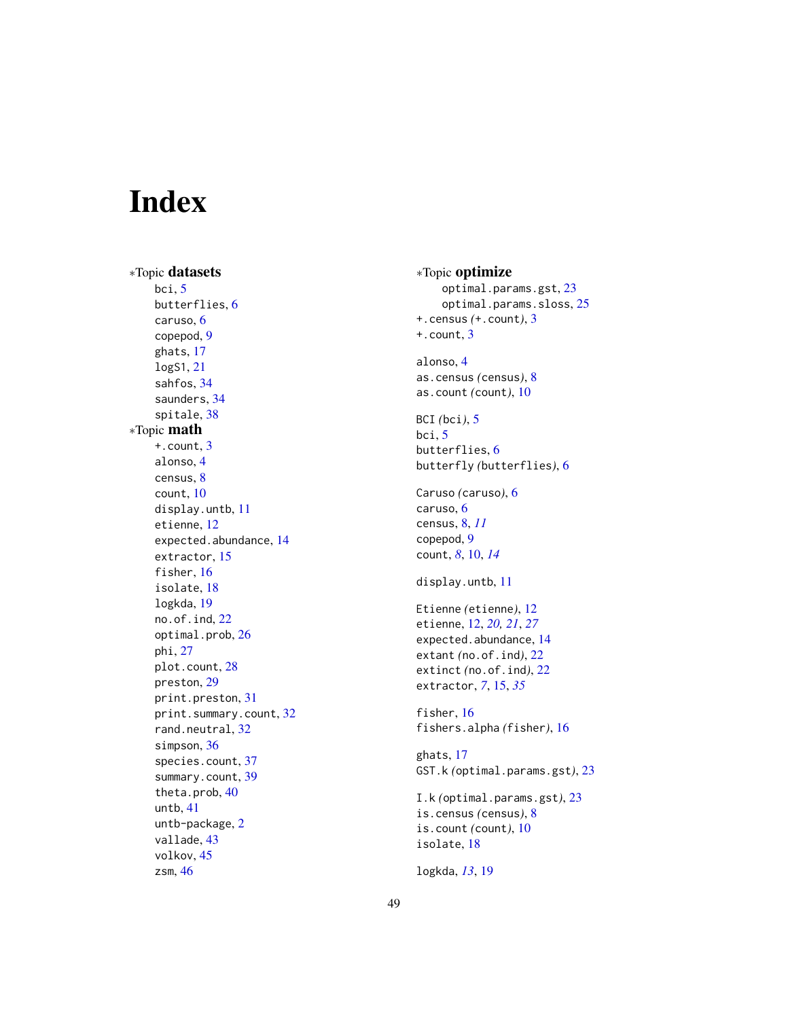# <span id="page-48-0"></span>Index

∗Topic datasets bci , [5](#page-4-0) butterflies , [6](#page-5-0) caruso , [6](#page-5-0) copepod , [9](#page-8-0) ghats , [17](#page-16-0) logS1 , [21](#page-20-0) sahfos , [34](#page-33-0) saunders , [34](#page-33-0) spitale , [38](#page-37-0) ∗Topic math +.count , [3](#page-2-0) alonso , [4](#page-3-0) census , [8](#page-7-0) count , [10](#page-9-0) display.untb , [11](#page-10-0) etienne , [12](#page-11-0) expected.abundance , [14](#page-13-0) extractor , [15](#page-14-0) fisher, [16](#page-15-0) isolate , [18](#page-17-0) logkda , [19](#page-18-0) no.of.ind , [22](#page-21-0) optimal.prob , [26](#page-25-0) phi , [27](#page-26-0) plot.count , [28](#page-27-0) preston , [29](#page-28-0) print.preston , [31](#page-30-0) print.summary.count, [32](#page-31-0) rand.neutral, [32](#page-31-0) simpson, [36](#page-35-0) species.count, [37](#page-36-0) summary.count, [39](#page-38-0) theta.prob , [40](#page-39-0) untb , [41](#page-40-0) untb-package , [2](#page-1-0) vallade , [43](#page-42-0) volkov , [45](#page-44-0) zsm , [46](#page-45-0)

∗Topic optimize optimal.params.gst , [23](#page-22-0) optimal.params.sloss, [25](#page-24-0) +.census *(*+.count *)* , [3](#page-2-0) +.count , [3](#page-2-0) alonso , [4](#page-3-0) as.census *(*census *)* , [8](#page-7-0) as.count *(*count *)* , [10](#page-9-0) BCI *(*bci *)* , [5](#page-4-0) bci , [5](#page-4-0) butterflies , [6](#page-5-0) butterfly *(*butterflies *)* , [6](#page-5-0) Caruso *(*caruso *)* , [6](#page-5-0) caruso, <mark>[6](#page-5-0)</mark> census , [8](#page-7-0) , *[11](#page-10-0)* copepod , [9](#page-8-0) count , *[8](#page-7-0)* , [10](#page-9-0) , *[14](#page-13-0)* display.untb , [11](#page-10-0) Etienne *(*etienne *)* , [12](#page-11-0) etienne , [12](#page-11-0) , *[20](#page-19-0) , [21](#page-20-0)* , *[27](#page-26-0)* expected.abundance , [14](#page-13-0) extant *(*no.of.ind *)* , [22](#page-21-0) extinct *(*no.of.ind *)* , [22](#page-21-0) extractor, [7](#page-6-0), [15](#page-14-0), [35](#page-34-0) fisher, [16](#page-15-0) fishers.alpha *(*fisher *)* , [16](#page-15-0) ghats , [17](#page-16-0) GST.k *(*optimal.params.gst *)* , [23](#page-22-0) I.k *(*optimal.params.gst *)* , [23](#page-22-0) is.census *(*census *)* , [8](#page-7-0) is.count *(*count *)* , [10](#page-9-0) isolate , [18](#page-17-0) logkda , *[13](#page-12-0)* , [19](#page-18-0)